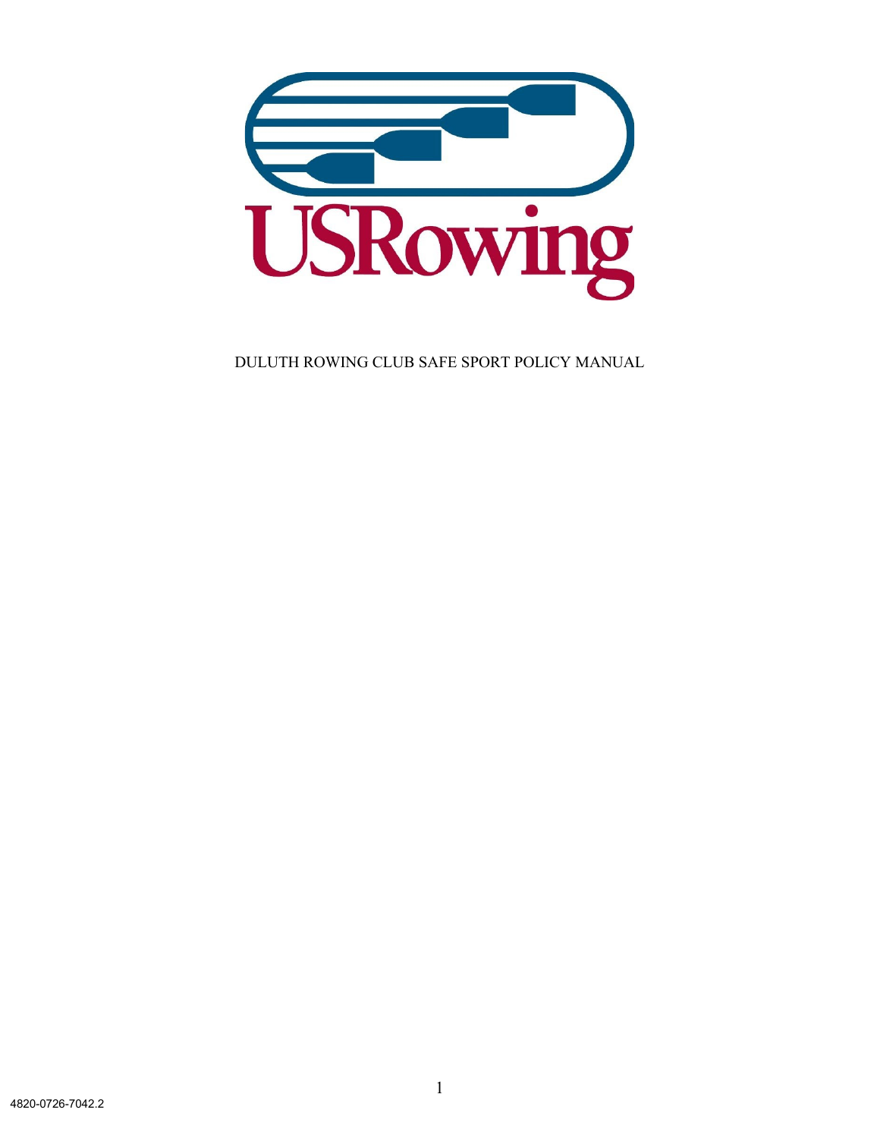

DULUTH ROWING CLUB SAFE SPORT POLICY MANUAL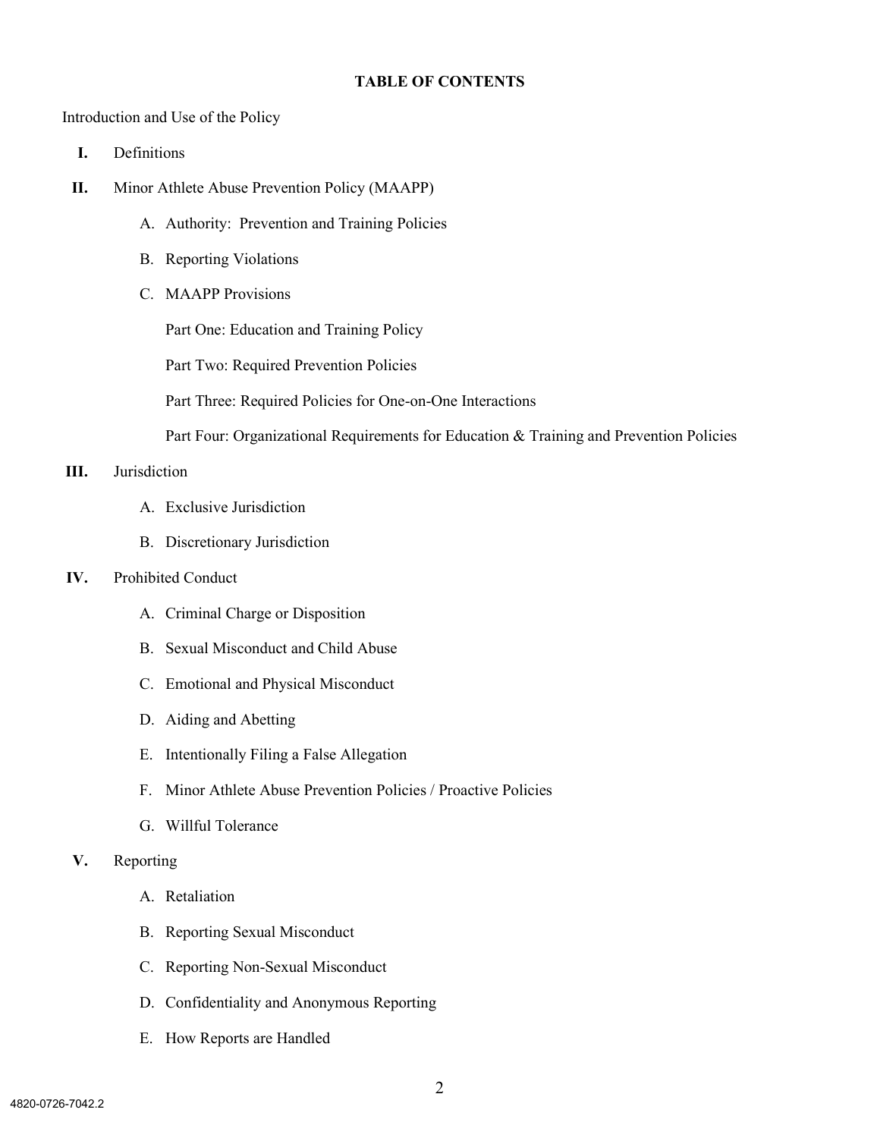#### **TABLE OF CONTENTS**

Introduction and Use of the Policy

- **I.** Definitions
- **II.** Minor Athlete Abuse Prevention Policy (MAAPP)
	- A. Authority: Prevention and Training Policies
	- B. Reporting Violations
	- C. MAAPP Provisions

Part One: Education and Training Policy

Part Two: Required Prevention Policies

Part Three: Required Policies for One-on-One Interactions

Part Four: Organizational Requirements for Education & Training and Prevention Policies

#### **III.** Jurisdiction

- A. Exclusive Jurisdiction
- B. Discretionary Jurisdiction

#### **IV.** Prohibited Conduct

- A. Criminal Charge or Disposition
- B. Sexual Misconduct and Child Abuse
- C. Emotional and Physical Misconduct
- D. Aiding and Abetting
- E. Intentionally Filing a False Allegation
- F. Minor Athlete Abuse Prevention Policies / Proactive Policies
- G. Willful Tolerance
- **V.** Reporting
	- A. Retaliation
	- B. Reporting Sexual Misconduct
	- C. Reporting Non-Sexual Misconduct
	- D. Confidentiality and Anonymous Reporting
	- E. How Reports are Handled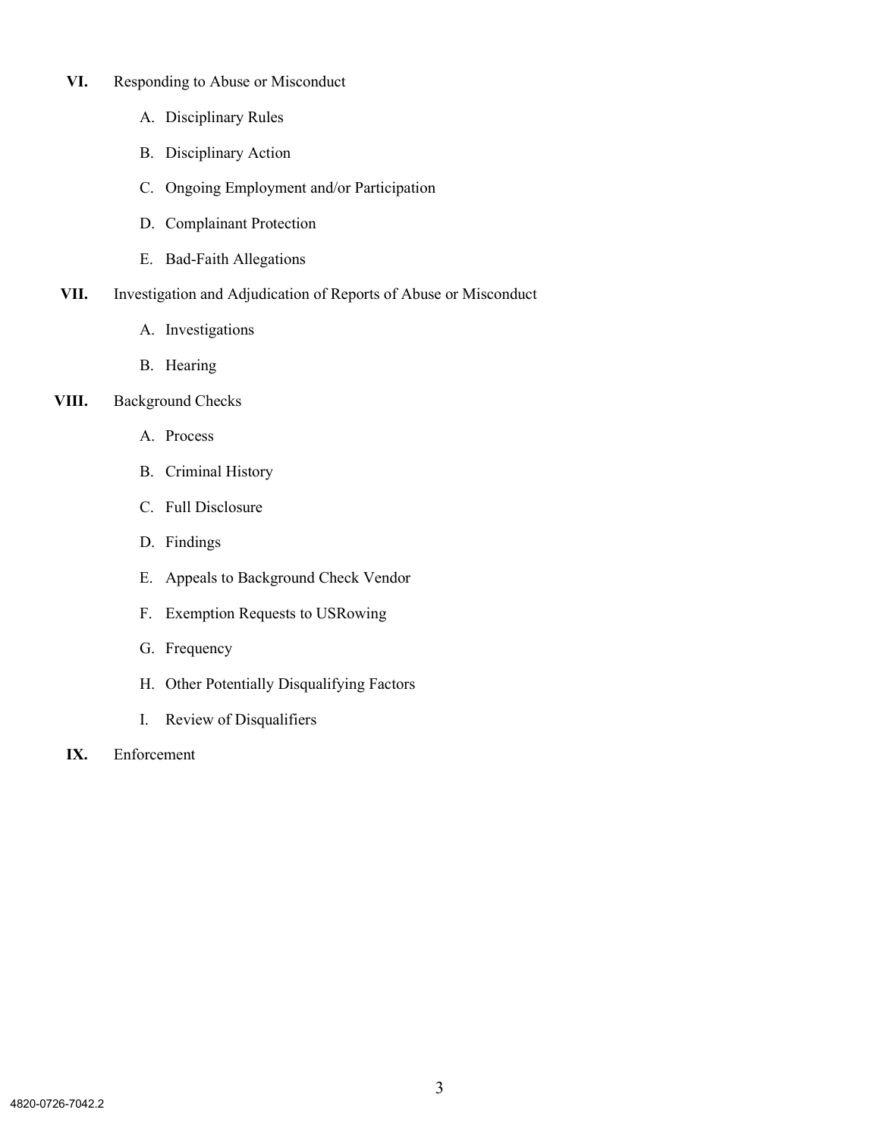- **VI.** Responding to Abuse or Misconduct
	- A. Disciplinary Rules
	- B. Disciplinary Action
	- C. Ongoing Employment and/or Participation
	- D. Complainant Protection
	- E. Bad-Faith Allegations
- **VII.** Investigation and Adjudication of Reports of Abuse or Misconduct
	- A. Investigations
	- B. Hearing
- **VIII.** Background Checks
	- A. Process
	- B. Criminal History
	- C. Full Disclosure
	- D. Findings
	- E. Appeals to Background Check Vendor
	- F. Exemption Requests to USRowing
	- G. Frequency
	- H. Other Potentially Disqualifying Factors
	- I. Review of Disqualifiers
	- **IX.** Enforcement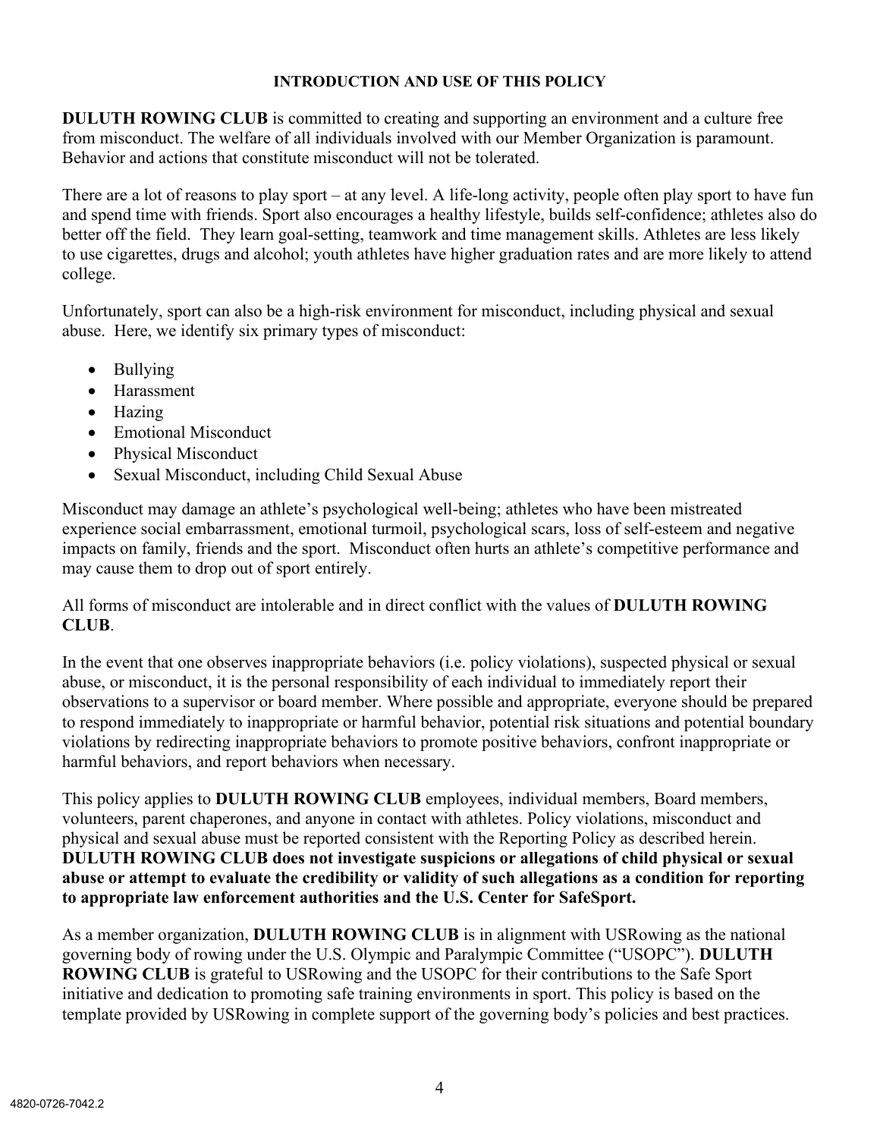# **INTRODUCTION AND USE OF THIS POLICY**

**DULUTH ROWING CLUB** is committed to creating and supporting an environment and a culture free from misconduct. The welfare of all individuals involved with our Member Organization is paramount. Behavior and actions that constitute misconduct will not be tolerated.

There are a lot of reasons to play sport – at any level. A life-long activity, people often play sport to have fun and spend time with friends. Sport also encourages a healthy lifestyle, builds self-confidence; athletes also do better off the field. They learn goal-setting, teamwork and time management skills. Athletes are less likely to use cigarettes, drugs and alcohol; youth athletes have higher graduation rates and are more likely to attend college.

Unfortunately, sport can also be a high-risk environment for misconduct, including physical and sexual abuse. Here, we identify six primary types of misconduct:

- Bullying
- Harassment
- Hazing
- Emotional Misconduct
- Physical Misconduct
- Sexual Misconduct, including Child Sexual Abuse

Misconduct may damage an athlete's psychological well-being; athletes who have been mistreated experience social embarrassment, emotional turmoil, psychological scars, loss of self-esteem and negative impacts on family, friends and the sport. Misconduct often hurts an athlete's competitive performance and may cause them to drop out of sport entirely.

All forms of misconduct are intolerable and in direct conflict with the values of **DULUTH ROWING CLUB**.

In the event that one observes inappropriate behaviors (i.e. policy violations), suspected physical or sexual abuse, or misconduct, it is the personal responsibility of each individual to immediately report their observations to a supervisor or board member. Where possible and appropriate, everyone should be prepared to respond immediately to inappropriate or harmful behavior, potential risk situations and potential boundary violations by redirecting inappropriate behaviors to promote positive behaviors, confront inappropriate or harmful behaviors, and report behaviors when necessary.

This policy applies to **DULUTH ROWING CLUB** employees, individual members, Board members, volunteers, parent chaperones, and anyone in contact with athletes. Policy violations, misconduct and physical and sexual abuse must be reported consistent with the Reporting Policy as described herein. **DULUTH ROWING CLUB does not investigate suspicions or allegations of child physical or sexual abuse or attempt to evaluate the credibility or validity of such allegations as a condition for reporting to appropriate law enforcement authorities and the U.S. Center for SafeSport.**

As a member organization, **DULUTH ROWING CLUB** is in alignment with USRowing as the national governing body of rowing under the U.S. Olympic and Paralympic Committee ("USOPC"). **DULUTH ROWING CLUB** is grateful to USRowing and the USOPC for their contributions to the Safe Sport initiative and dedication to promoting safe training environments in sport. This policy is based on the template provided by USRowing in complete support of the governing body's policies and best practices.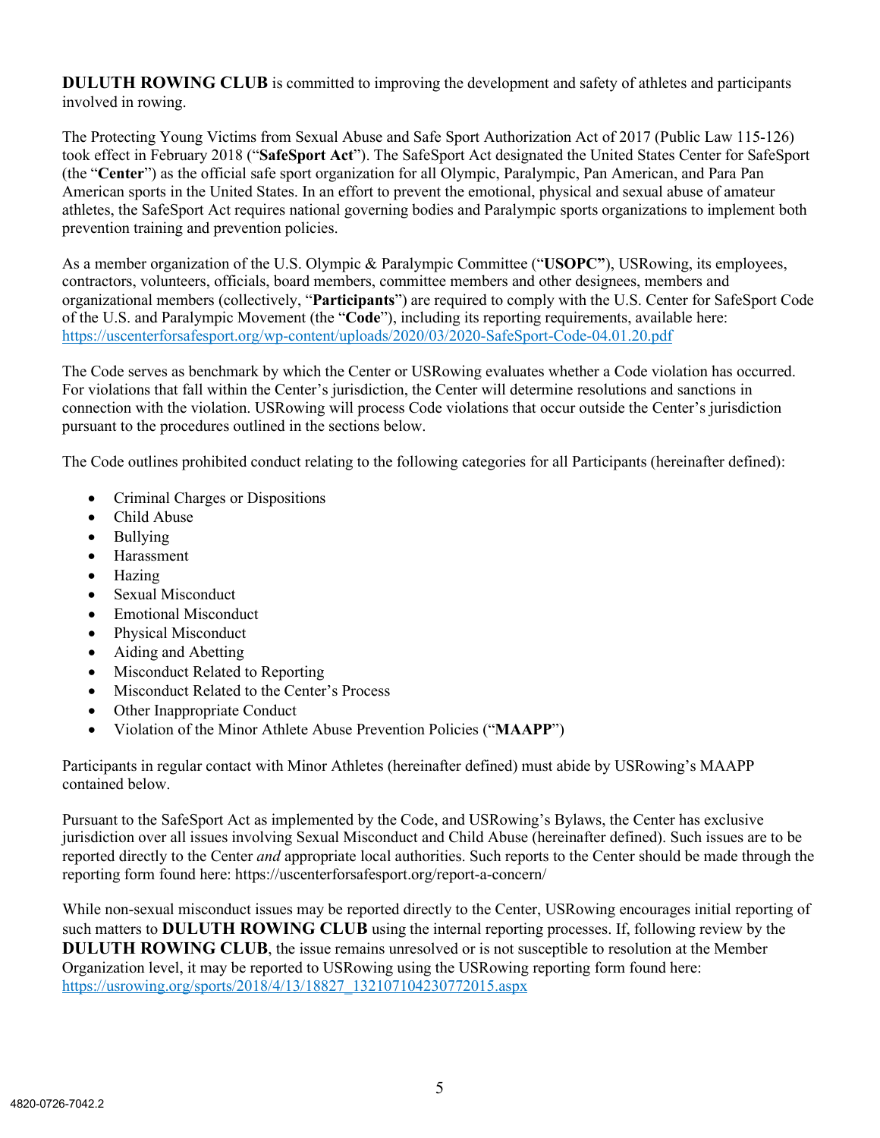**DULUTH ROWING CLUB** is committed to improving the development and safety of athletes and participants involved in rowing.

The Protecting Young Victims from Sexual Abuse and Safe Sport Authorization Act of 2017 (Public Law 115-126) took effect in February 2018 ("**SafeSport Act**"). The SafeSport Act designated the United States Center for SafeSport (the "**Center**") as the official safe sport organization for all Olympic, Paralympic, Pan American, and Para Pan American sports in the United States. In an effort to prevent the emotional, physical and sexual abuse of amateur athletes, the SafeSport Act requires national governing bodies and Paralympic sports organizations to implement both prevention training and prevention policies.

As a member organization of the U.S. Olympic & Paralympic Committee ("**USOPC"**), USRowing, its employees, contractors, volunteers, officials, board members, committee members and other designees, members and organizational members (collectively, "**Participants**") are required to comply with the U.S. Center for SafeSport Code of the U.S. and Paralympic Movement (the "**Code**"), including its reporting requirements, available here: <https://uscenterforsafesport.org/wp-content/uploads/2020/03/2020-SafeSport-Code-04.01.20.pdf>

The Code serves as benchmark by which the Center or USRowing evaluates whether a Code violation has occurred. For violations that fall within the Center's jurisdiction, the Center will determine resolutions and sanctions in connection with the violation. USRowing will process Code violations that occur outside the Center's jurisdiction pursuant to the procedures outlined in the sections below.

The Code outlines prohibited conduct relating to the following categories for all Participants (hereinafter defined):

- Criminal Charges or Dispositions
- Child Abuse
- Bullying
- Harassment
- Hazing
- Sexual Misconduct
- Emotional Misconduct
- Physical Misconduct
- Aiding and Abetting
- Misconduct Related to Reporting
- Misconduct Related to the Center's Process
- Other Inappropriate Conduct
- Violation of the Minor Athlete Abuse Prevention Policies ("**MAAPP**")

Participants in regular contact with Minor Athletes (hereinafter defined) must abide by USRowing's MAAPP contained below.

Pursuant to the SafeSport Act as implemented by the Code, and USRowing's Bylaws, the Center has exclusive jurisdiction over all issues involving Sexual Misconduct and Child Abuse (hereinafter defined). Such issues are to be reported directly to the Center *and* appropriate local authorities. Such reports to the Center should be made through the reporting form found here: https://uscenterforsafesport.org/report-a-concern/

While non-sexual misconduct issues may be reported directly to the Center, USRowing encourages initial reporting of such matters to **DULUTH ROWING CLUB** using the internal reporting processes. If, following review by the **DULUTH ROWING CLUB**, the issue remains unresolved or is not susceptible to resolution at the Member Organization level, it may be reported to USRowing using the USRowing reporting form found here: [https://usrowing.org/sports/2018/4/13/18827\\_132107104230772015.aspx](https://usrowing.org/sports/2018/4/13/18827_132107104230772015.aspx)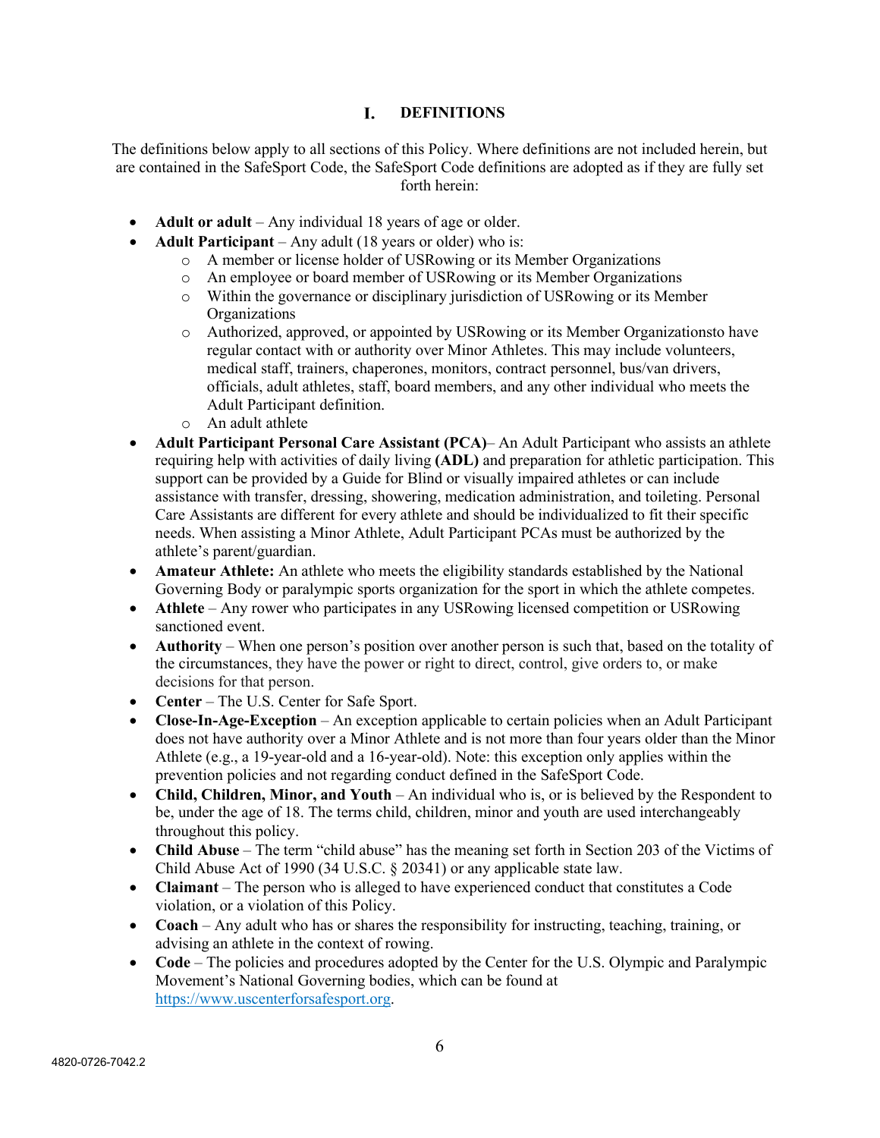#### I. **DEFINITIONS**

The definitions below apply to all sections of this Policy. Where definitions are not included herein, but are contained in the SafeSport Code, the SafeSport Code definitions are adopted as if they are fully set forth herein:

- **Adult or adult** Any individual 18 years of age or older.
- **Adult Participant**  Any adult (18 years or older) who is:
	- o A member or license holder of USRowing or its Member Organizations
	- o An employee or board member of USRowing or its Member Organizations
	- o Within the governance or disciplinary jurisdiction of USRowing or its Member **Organizations**
	- o Authorized, approved, or appointed by USRowing or its Member Organizationsto have regular contact with or authority over Minor Athletes. This may include volunteers, medical staff, trainers, chaperones, monitors, contract personnel, bus/van drivers, officials, adult athletes, staff, board members, and any other individual who meets the Adult Participant definition.
	- o An adult athlete
- **Adult Participant Personal Care Assistant (PCA)** An Adult Participant who assists an athlete requiring help with activities of daily living **(ADL)** and preparation for athletic participation. This support can be provided by a Guide for Blind or visually impaired athletes or can include assistance with transfer, dressing, showering, medication administration, and toileting. Personal Care Assistants are different for every athlete and should be individualized to fit their specific needs. When assisting a Minor Athlete, Adult Participant PCAs must be authorized by the athlete's parent/guardian.
- **Amateur Athlete:** An athlete who meets the eligibility standards established by the National Governing Body or paralympic sports organization for the sport in which the athlete competes.
- **Athlete** Any rower who participates in any USRowing licensed competition or USRowing sanctioned event.
- **Authority** When one person's position over another person is such that, based on the totality of the circumstances, they have the power or right to direct, control, give orders to, or make decisions for that person.
- **Center** The U.S. Center for Safe Sport.
- **Close-In-Age-Exception** An exception applicable to certain policies when an Adult Participant does not have authority over a Minor Athlete and is not more than four years older than the Minor Athlete (e.g., a 19-year-old and a 16-year-old). Note: this exception only applies within the prevention policies and not regarding conduct defined in the SafeSport Code.
- **Child, Children, Minor, and Youth** An individual who is, or is believed by the Respondent to be, under the age of 18. The terms child, children, minor and youth are used interchangeably throughout this policy.
- **Child Abuse** The term "child abuse" has the meaning set forth in Section 203 of the Victims of Child Abuse Act of 1990 (34 U.S.C. § 20341) or any applicable state law.
- **Claimant** The person who is alleged to have experienced conduct that constitutes a Code violation, or a violation of this Policy.
- **Coach** Any adult who has or shares the responsibility for instructing, teaching, training, or advising an athlete in the context of rowing.
- **Code** The policies and procedures adopted by the Center for the U.S. Olympic and Paralympic Movement's National Governing bodies, which can be found at [https://www.uscenterforsafesport.org.](https://www.uscenterforsafesport.org/)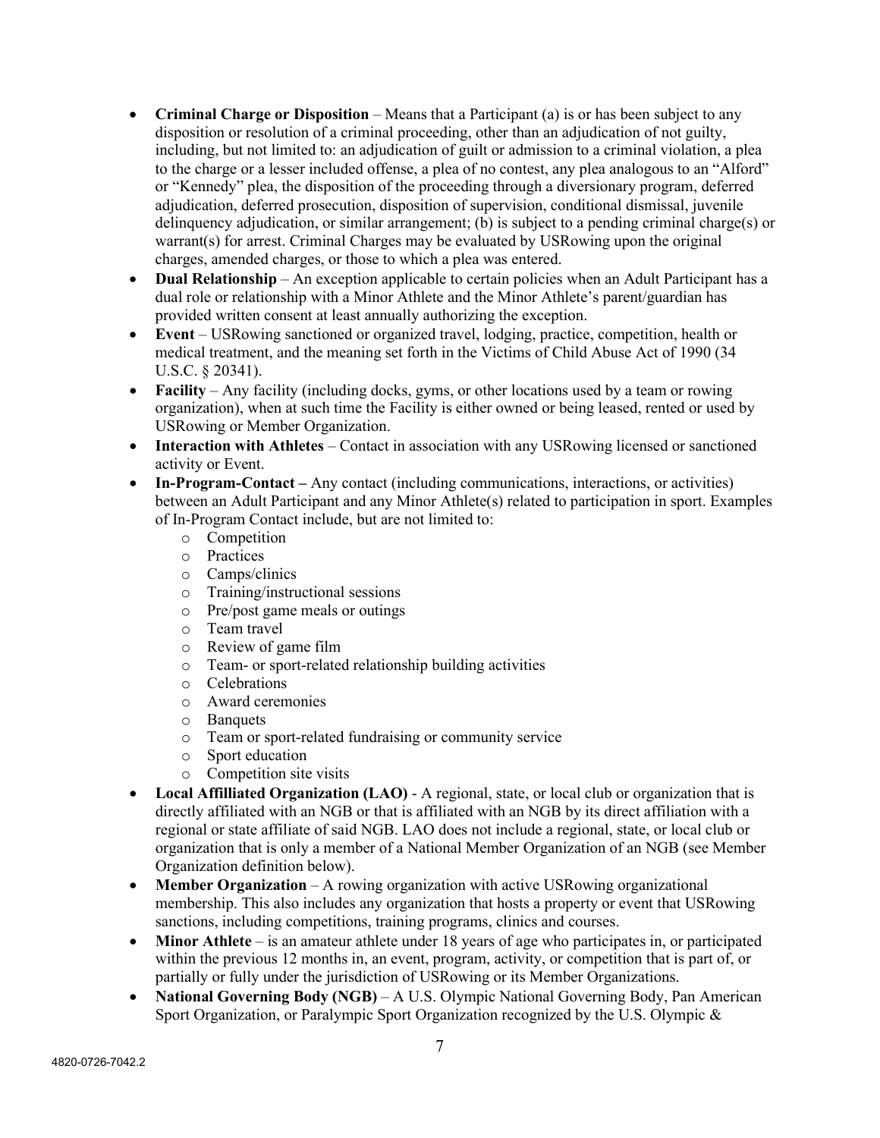- **Criminal Charge or Disposition** Means that a Participant (a) is or has been subject to any disposition or resolution of a criminal proceeding, other than an adjudication of not guilty, including, but not limited to: an adjudication of guilt or admission to a criminal violation, a plea to the charge or a lesser included offense, a plea of no contest, any plea analogous to an "Alford" or "Kennedy" plea, the disposition of the proceeding through a diversionary program, deferred adjudication, deferred prosecution, disposition of supervision, conditional dismissal, juvenile delinquency adjudication, or similar arrangement; (b) is subject to a pending criminal charge(s) or warrant(s) for arrest. Criminal Charges may be evaluated by USRowing upon the original charges, amended charges, or those to which a plea was entered.
- **Dual Relationship** An exception applicable to certain policies when an Adult Participant has a dual role or relationship with a Minor Athlete and the Minor Athlete's parent/guardian has provided written consent at least annually authorizing the exception.
- **Event** USRowing sanctioned or organized travel, lodging, practice, competition, health or medical treatment, and the meaning set forth in the Victims of Child Abuse Act of 1990 (34 U.S.C. § 20341).
- **Facility** Any facility (including docks, gyms, or other locations used by a team or rowing organization), when at such time the Facility is either owned or being leased, rented or used by USRowing or Member Organization.
- **Interaction with Athletes** Contact in association with any USRowing licensed or sanctioned activity or Event.
- **In-Program-Contact** Any contact (including communications, interactions, or activities) between an Adult Participant and any Minor Athlete(s) related to participation in sport. Examples of In-Program Contact include, but are not limited to:
	- o Competition
	- o Practices
	- o Camps/clinics<br>
	o Training/instru
	- o Training/instructional sessions<br>o Pre/post game meals or outings
	- Pre/post game meals or outings
	-
	- o Team travel<br>
	o Review of ga Review of game film
	- o Team- or sport-related relationship building activities
	- o Celebrations
	- o Award ceremonies
	- o Banquets<br>
	o Team or s
	- o Team or sport-related fundraising or community service
	- Sport education
	- o Competition site visits
- **Local Affilliated Organization (LAO)** A regional, state, or local club or organization that is directly affiliated with an NGB or that is affiliated with an NGB by its direct affiliation with a regional or state affiliate of said NGB. LAO does not include a regional, state, or local club or organization that is only a member of a National Member Organization of an NGB (see Member Organization definition below).
- **Member Organization** A rowing organization with active USRowing organizational membership. This also includes any organization that hosts a property or event that USRowing sanctions, including competitions, training programs, clinics and courses.
- **Minor Athlete** is an amateur athlete under 18 years of age who participates in, or participated within the previous 12 months in, an event, program, activity, or competition that is part of, or partially or fully under the jurisdiction of USRowing or its Member Organizations.
- **National Governing Body (NGB)** A U.S. Olympic National Governing Body, Pan American Sport Organization, or Paralympic Sport Organization recognized by the U.S. Olympic &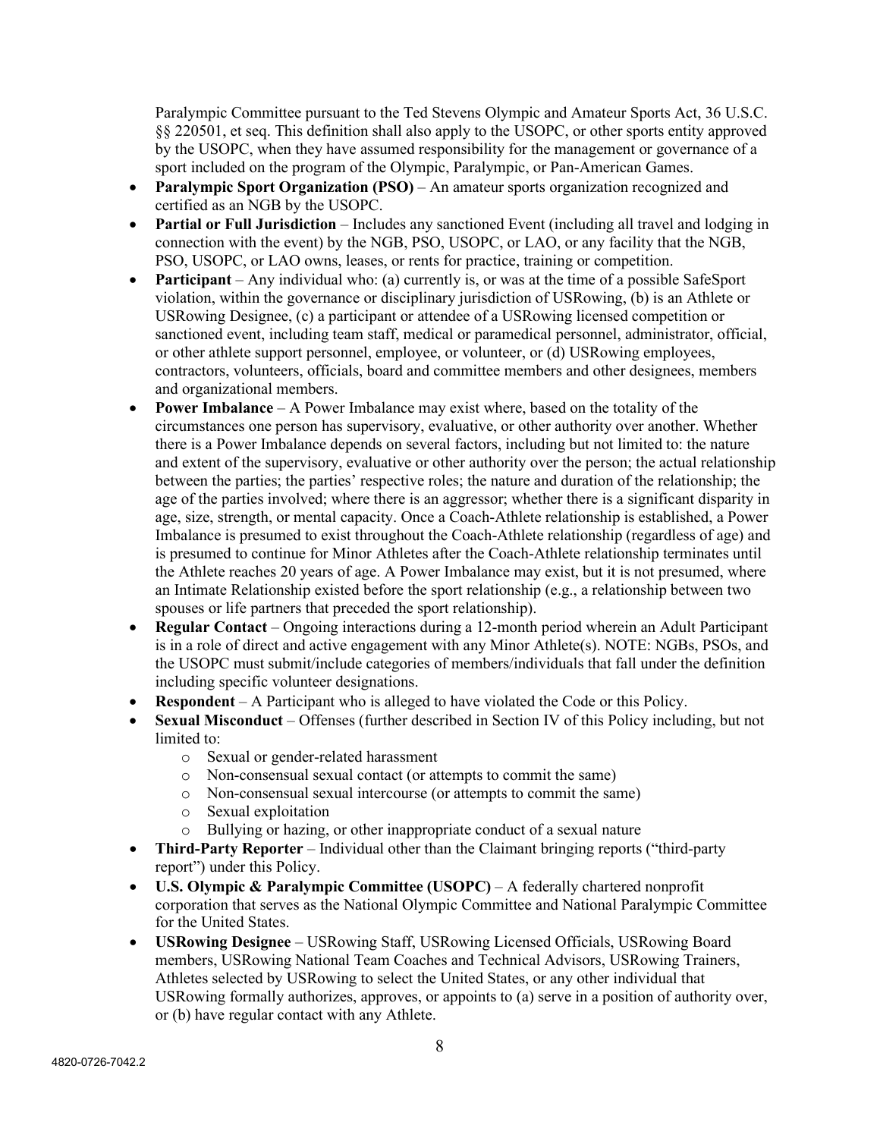Paralympic Committee pursuant to the Ted Stevens Olympic and Amateur Sports Act, 36 U.S.C. §§ 220501, et seq. This definition shall also apply to the USOPC, or other sports entity approved by the USOPC, when they have assumed responsibility for the management or governance of a sport included on the program of the Olympic, Paralympic, or Pan-American Games.

- **Paralympic Sport Organization (PSO)** An amateur sports organization recognized and certified as an NGB by the USOPC.
- **Partial or Full Jurisdiction** Includes any sanctioned Event (including all travel and lodging in connection with the event) by the NGB, PSO, USOPC, or LAO, or any facility that the NGB, PSO, USOPC, or LAO owns, leases, or rents for practice, training or competition.
- **Participant** Any individual who: (a) currently is, or was at the time of a possible SafeSport violation, within the governance or disciplinary jurisdiction of USRowing, (b) is an Athlete or USRowing Designee, (c) a participant or attendee of a USRowing licensed competition or sanctioned event, including team staff, medical or paramedical personnel, administrator, official, or other athlete support personnel, employee, or volunteer, or (d) USRowing employees, contractors, volunteers, officials, board and committee members and other designees, members and organizational members.
- **Power Imbalance** A Power Imbalance may exist where, based on the totality of the circumstances one person has supervisory, evaluative, or other authority over another. Whether there is a Power Imbalance depends on several factors, including but not limited to: the nature and extent of the supervisory, evaluative or other authority over the person; the actual relationship between the parties; the parties' respective roles; the nature and duration of the relationship; the age of the parties involved; where there is an aggressor; whether there is a significant disparity in age, size, strength, or mental capacity. Once a Coach-Athlete relationship is established, a Power Imbalance is presumed to exist throughout the Coach-Athlete relationship (regardless of age) and is presumed to continue for Minor Athletes after the Coach-Athlete relationship terminates until the Athlete reaches 20 years of age. A Power Imbalance may exist, but it is not presumed, where an Intimate Relationship existed before the sport relationship (e.g., a relationship between two spouses or life partners that preceded the sport relationship).
- **Regular Contact** Ongoing interactions during a 12-month period wherein an Adult Participant is in a role of direct and active engagement with any Minor Athlete(s). NOTE: NGBs, PSOs, and the USOPC must submit/include categories of members/individuals that fall under the definition including specific volunteer designations.
- **Respondent** A Participant who is alleged to have violated the Code or this Policy.
- **Sexual Misconduct** Offenses (further described in Section IV of this Policy including, but not limited to:
	- o Sexual or gender-related harassment
	- o Non-consensual sexual contact (or attempts to commit the same)
	- o Non-consensual sexual intercourse (or attempts to commit the same)
	- o Sexual exploitation
	- o Bullying or hazing, or other inappropriate conduct of a sexual nature
- **Third-Party Reporter** Individual other than the Claimant bringing reports ("third-party report") under this Policy.
- **U.S. Olympic & Paralympic Committee (USOPC)** A federally chartered nonprofit corporation that serves as the National Olympic Committee and National Paralympic Committee for the United States.
- **USRowing Designee** USRowing Staff, USRowing Licensed Officials, USRowing Board members, USRowing National Team Coaches and Technical Advisors, USRowing Trainers, Athletes selected by USRowing to select the United States, or any other individual that USRowing formally authorizes, approves, or appoints to (a) serve in a position of authority over, or (b) have regular contact with any Athlete.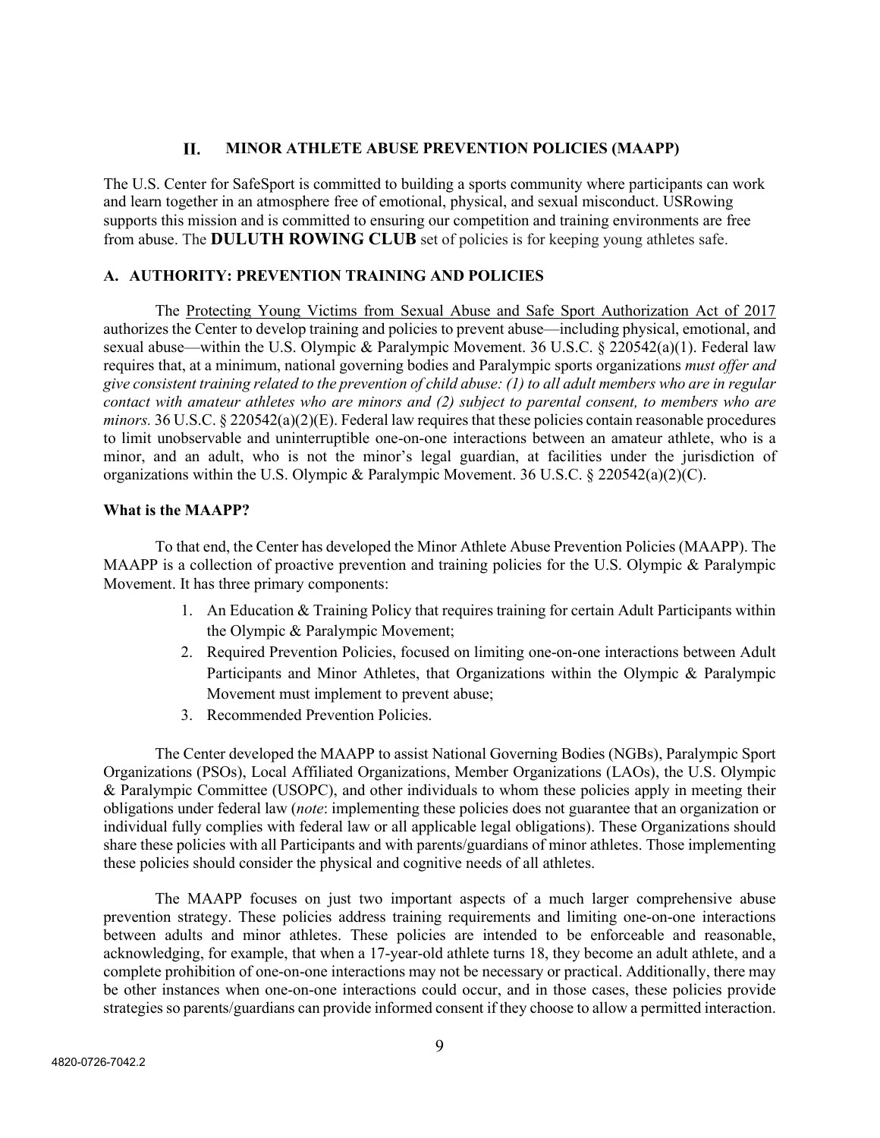#### **MINOR ATHLETE ABUSE PREVENTION POLICIES (MAAPP)** II.

The U.S. Center for SafeSport is committed to building a sports community where participants can work and learn together in an atmosphere free of emotional, physical, and sexual misconduct. USRowing supports this mission and is committed to ensuring our competition and training environments are free from abuse. The **DULUTH ROWING CLUB** set of policies is for keeping young athletes safe.

## **A. AUTHORITY: PREVENTION TRAINING AND POLICIES**

The Protecting Young Victims from Sexual Abuse and Safe Sport Authorization Act of 2017 authorizes the Center to develop training and policies to prevent abuse—including physical, emotional, and sexual abuse—within the U.S. Olympic & Paralympic Movement. 36 U.S.C. § 220542(a)(1). Federal law requires that, at a minimum, national governing bodies and Paralympic sports organizations *must offer and give consistent training related to the prevention of child abuse: (1) to all adult members who are in regular contact with amateur athletes who are minors and (2) subject to parental consent, to members who are minors.* 36 U.S.C. § 220542(a)(2)(E). Federal law requires that these policies contain reasonable procedures to limit unobservable and uninterruptible one-on-one interactions between an amateur athlete, who is a minor, and an adult, who is not the minor's legal guardian, at facilities under the jurisdiction of organizations within the U.S. Olympic & Paralympic Movement. 36 U.S.C. § 220542(a)(2)(C).

#### **What is the MAAPP?**

To that end, the Center has developed the Minor Athlete Abuse Prevention Policies (MAAPP). The MAAPP is a collection of proactive prevention and training policies for the U.S. Olympic & Paralympic Movement. It has three primary components:

- 1. An Education & Training Policy that requires training for certain Adult Participants within the Olympic & Paralympic Movement;
- 2. Required Prevention Policies, focused on limiting one-on-one interactions between Adult Participants and Minor Athletes, that Organizations within the Olympic & Paralympic Movement must implement to prevent abuse;
- 3. Recommended Prevention Policies.

The Center developed the MAAPP to assist National Governing Bodies (NGBs), Paralympic Sport Organizations (PSOs), Local Affiliated Organizations, Member Organizations (LAOs), the U.S. Olympic & Paralympic Committee (USOPC), and other individuals to whom these policies apply in meeting their obligations under federal law (*note*: implementing these policies does not guarantee that an organization or individual fully complies with federal law or all applicable legal obligations). These Organizations should share these policies with all Participants and with parents/guardians of minor athletes. Those implementing these policies should consider the physical and cognitive needs of all athletes.

The MAAPP focuses on just two important aspects of a much larger comprehensive abuse prevention strategy. These policies address training requirements and limiting one-on-one interactions between adults and minor athletes. These policies are intended to be enforceable and reasonable, acknowledging, for example, that when a 17-year-old athlete turns 18, they become an adult athlete, and a complete prohibition of one-on-one interactions may not be necessary or practical. Additionally, there may be other instances when one-on-one interactions could occur, and in those cases, these policies provide strategies so parents/guardians can provide informed consent if they choose to allow a permitted interaction.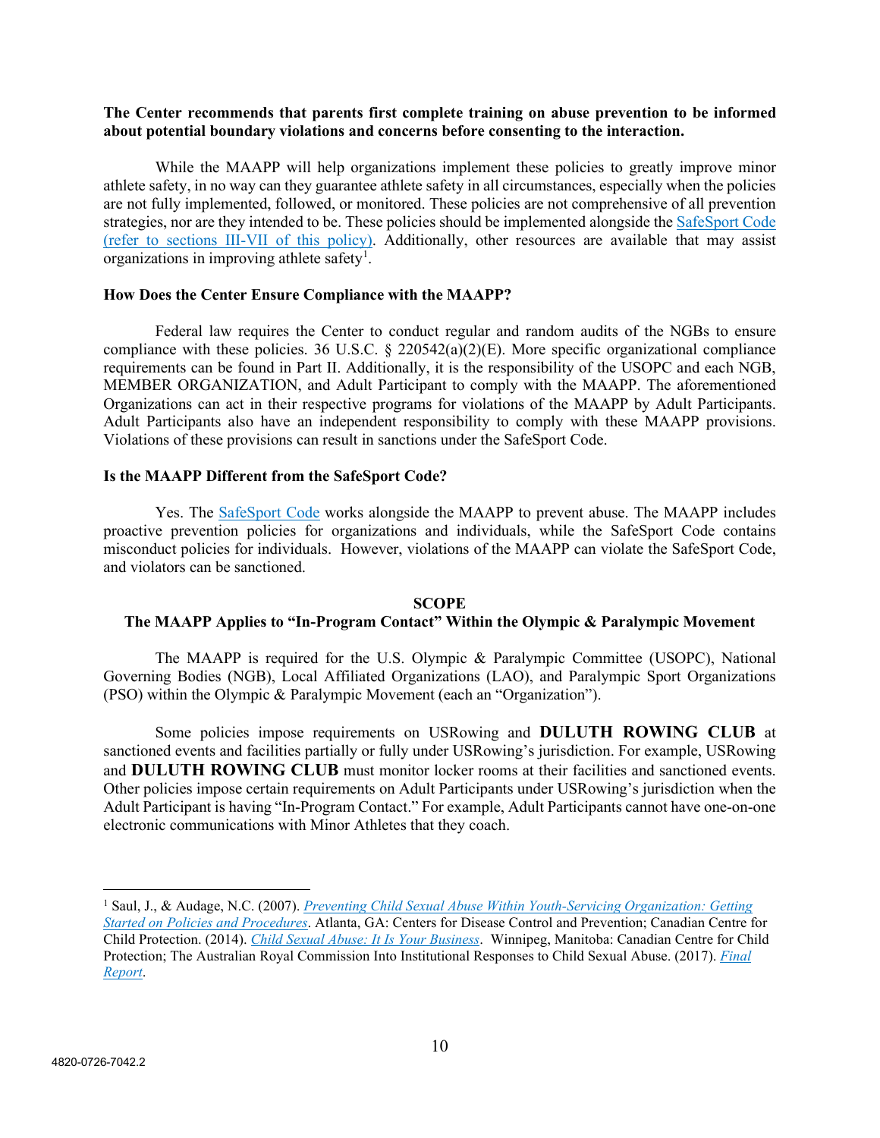#### **The Center recommends that parents first complete training on abuse prevention to be informed about potential boundary violations and concerns before consenting to the interaction.**

While the MAAPP will help organizations implement these policies to greatly improve minor athlete safety, in no way can they guarantee athlete safety in all circumstances, especially when the policies are not fully implemented, followed, or monitored. These policies are not comprehensive of all prevention strategies, nor are they intended to be. These policies should be implemented alongside the [SafeSport Code](https://uscenterforsafesport.org/response-and-resolution/safesport-code/) (refer to sections III-VII of this policy). Additionally, other resources are available that may assist organizations in improving athlete safety<sup>[1](#page-9-0)</sup>.

#### **How Does the Center Ensure Compliance with the MAAPP?**

Federal law requires the Center to conduct regular and random audits of the NGBs to ensure compliance with these policies. 36 U.S.C. § 220542(a)(2)(E). More specific organizational compliance requirements can be found in Part II. Additionally, it is the responsibility of the USOPC and each NGB, MEMBER ORGANIZATION, and Adult Participant to comply with the MAAPP. The aforementioned Organizations can act in their respective programs for violations of the MAAPP by Adult Participants. Adult Participants also have an independent responsibility to comply with these MAAPP provisions. Violations of these provisions can result in sanctions under the SafeSport Code.

#### **Is the MAAPP Different from the SafeSport Code?**

Yes. The **SafeSport Code** works alongside the MAAPP to prevent abuse. The MAAPP includes proactive prevention policies for organizations and individuals, while the SafeSport Code contains misconduct policies for individuals. However, violations of the MAAPP can violate the SafeSport Code, and violators can be sanctioned.

#### **SCOPE**

#### **The MAAPP Applies to "In-Program Contact" Within the Olympic & Paralympic Movement**

The MAAPP is required for the U.S. Olympic & Paralympic Committee (USOPC), National Governing Bodies (NGB), Local Affiliated Organizations (LAO), and Paralympic Sport Organizations (PSO) within the Olympic & Paralympic Movement (each an "Organization").

Some policies impose requirements on USRowing and **DULUTH ROWING CLUB** at sanctioned events and facilities partially or fully under USRowing's jurisdiction. For example, USRowing and **DULUTH ROWING CLUB** must monitor locker rooms at their facilities and sanctioned events. Other policies impose certain requirements on Adult Participants under USRowing's jurisdiction when the Adult Participant is having "In-Program Contact." For example, Adult Participants cannot have one-on-one electronic communications with Minor Athletes that they coach.

<span id="page-9-0"></span><sup>1</sup> Saul, J., & Audage, N.C. (2007). *[Preventing Child Sexual Abuse Within Youth-Servicing Organization: Getting](https://www.cdc.gov/violenceprevention/pdf/PreventingChildSexualAbuse-a.pdf)  [Started on Policies and Procedures](https://www.cdc.gov/violenceprevention/pdf/PreventingChildSexualAbuse-a.pdf)*. Atlanta, GA: Centers for Disease Control and Prevention; Canadian Centre for Child Protection. (2014). *[Child Sexual Abuse: It Is Your Business](https://www.protectchildren.ca/pdfs/C3P_ChildSexualAbuse_ItIsYourBusiness_en.pdf)*. Winnipeg, Manitoba: Canadian Centre for Child Protection; The Australian Royal Commission Into Institutional Responses to Child Sexual Abuse. (2017). *[Final](https://www.childabuseroyalcommission.gov.au/final-report)  [Report](https://www.childabuseroyalcommission.gov.au/final-report)*.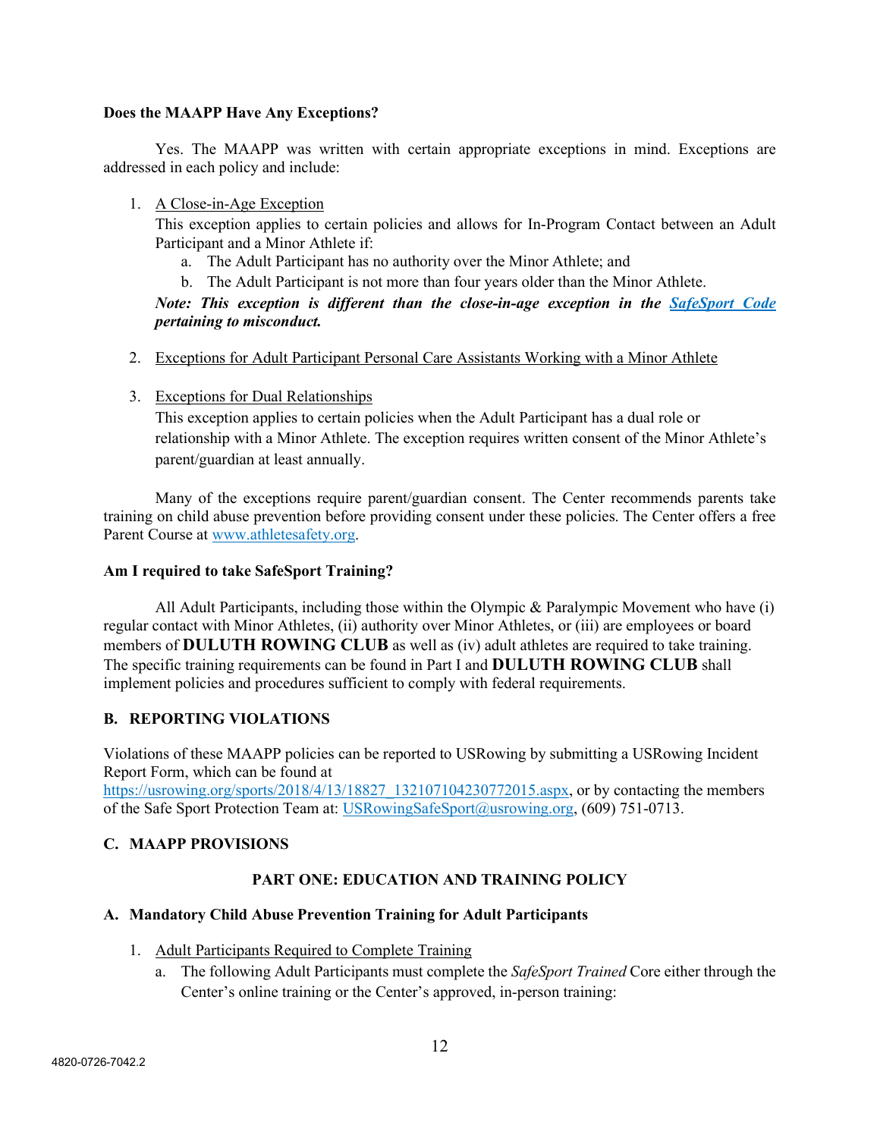#### **Does the MAAPP Have Any Exceptions?**

Yes. The MAAPP was written with certain appropriate exceptions in mind. Exceptions are addressed in each policy and include:

#### 1. A Close-in-Age Exception

This exception applies to certain policies and allows for In-Program Contact between an Adult Participant and a Minor Athlete if:

- a. The Adult Participant has no authority over the Minor Athlete; and
- b. The Adult Participant is not more than four years older than the Minor Athlete.

## *Note: This exception is different than the close-in-age exception in the [SafeSport Code](https://uscenterforsafesport.org/response-and-resolution/safesport-code/) pertaining to misconduct.*

- 2. Exceptions for Adult Participant Personal Care Assistants Working with a Minor Athlete
- 3. Exceptions for Dual Relationships

This exception applies to certain policies when the Adult Participant has a dual role or relationship with a Minor Athlete. The exception requires written consent of the Minor Athlete's parent/guardian at least annually.

Many of the exceptions require parent/guardian consent. The Center recommends parents take training on child abuse prevention before providing consent under these policies. The Center offers a free Parent Course at [www.athletesafety.org.](http://www.athletesafety.org/)

#### **Am I required to take SafeSport Training?**

All Adult Participants, including those within the Olympic & Paralympic Movement who have (i) regular contact with Minor Athletes, (ii) authority over Minor Athletes, or (iii) are employees or board members of **DULUTH ROWING CLUB** as well as (iv) adult athletes are required to take training. The specific training requirements can be found in Part I and **DULUTH ROWING CLUB** shall implement policies and procedures sufficient to comply with federal requirements.

## **B. REPORTING VIOLATIONS**

Violations of these MAAPP policies can be reported to USRowing by submitting a USRowing Incident Report Form, which can be found at

https://usrowing.org/sports/2018/4/13/18827 132107104230772015.aspx, or by contacting the members of the Safe Sport Protection Team at: [USRowingSafeSport@usrowing.org,](mailto:USRowingSafeSport@usrowing.org) (609) 751-0713.

#### **C. MAAPP PROVISIONS**

#### **PART ONE: EDUCATION AND TRAINING POLICY**

#### **A. Mandatory Child Abuse Prevention Training for Adult Participants**

- 1. Adult Participants Required to Complete Training
	- a. The following Adult Participants must complete the *SafeSport Trained* Core either through the Center's online training or the Center's approved, in-person training: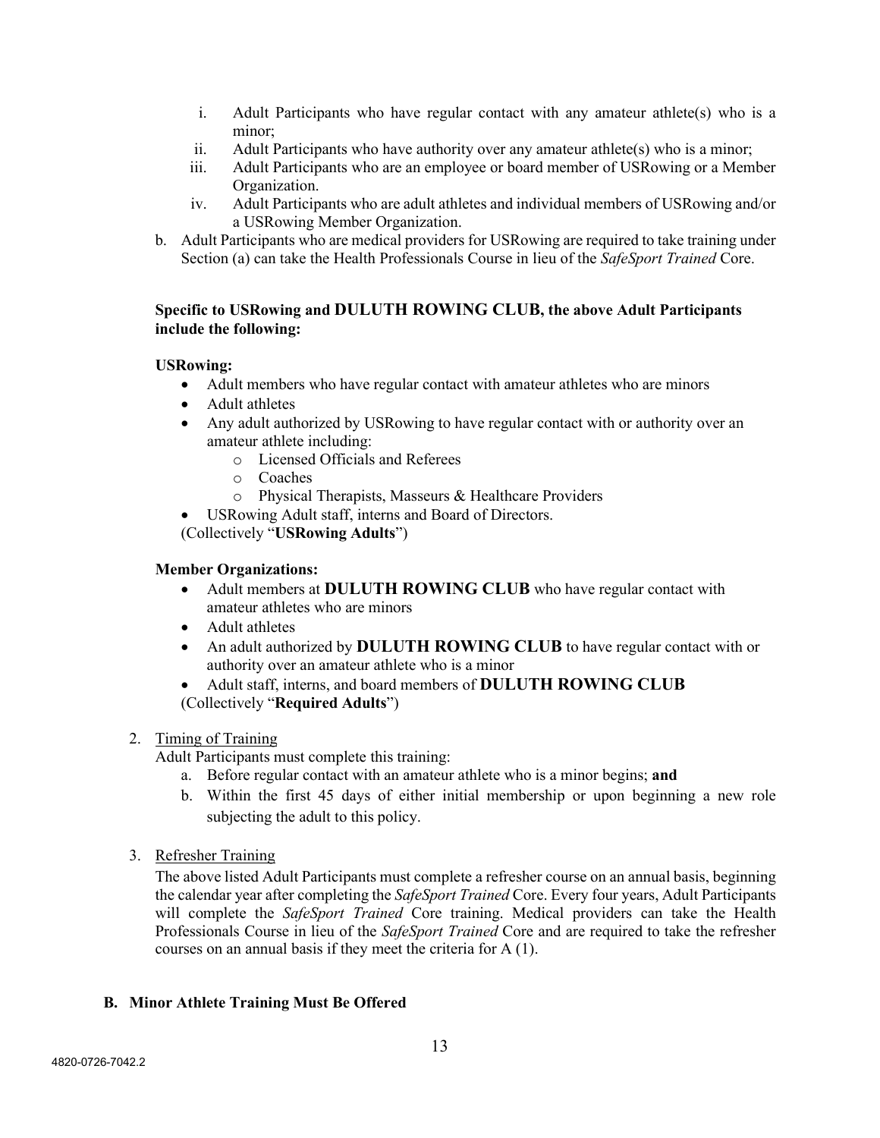- i. Adult Participants who have regular contact with any amateur athlete(s) who is a minor;
- ii. Adult Participants who have authority over any amateur athlete(s) who is a minor;
- iii. Adult Participants who are an employee or board member of USRowing or a Member Organization.
- iv. Adult Participants who are adult athletes and individual members of USRowing and/or a USRowing Member Organization.
- b. Adult Participants who are medical providers for USRowing are required to take training under Section (a) can take the Health Professionals Course in lieu of the *SafeSport Trained* Core.

## **Specific to USRowing and DULUTH ROWING CLUB, the above Adult Participants include the following:**

#### **USRowing:**

- Adult members who have regular contact with amateur athletes who are minors
- Adult athletes
- Any adult authorized by USRowing to have regular contact with or authority over an amateur athlete including:
	- o Licensed Officials and Referees
	- o Coaches
	- o Physical Therapists, Masseurs & Healthcare Providers
- USRowing Adult staff, interns and Board of Directors.

(Collectively "**USRowing Adults**")

#### **Member Organizations:**

- Adult members at **DULUTH ROWING CLUB** who have regular contact with amateur athletes who are minors
- Adult athletes
- An adult authorized by **DULUTH ROWING CLUB** to have regular contact with or authority over an amateur athlete who is a minor
- Adult staff, interns, and board members of **DULUTH ROWING CLUB** (Collectively "**Required Adults**")

#### 2. Timing of Training

- Adult Participants must complete this training:
	- a. Before regular contact with an amateur athlete who is a minor begins; **and**
	- b. Within the first 45 days of either initial membership or upon beginning a new role subjecting the adult to this policy.
- 3. Refresher Training

The above listed Adult Participants must complete a refresher course on an annual basis, beginning the calendar year after completing the *SafeSport Trained* Core. Every four years, Adult Participants will complete the *SafeSport Trained* Core training. Medical providers can take the Health Professionals Course in lieu of the *SafeSport Trained* Core and are required to take the refresher courses on an annual basis if they meet the criteria for A (1).

#### **B. Minor Athlete Training Must Be Offered**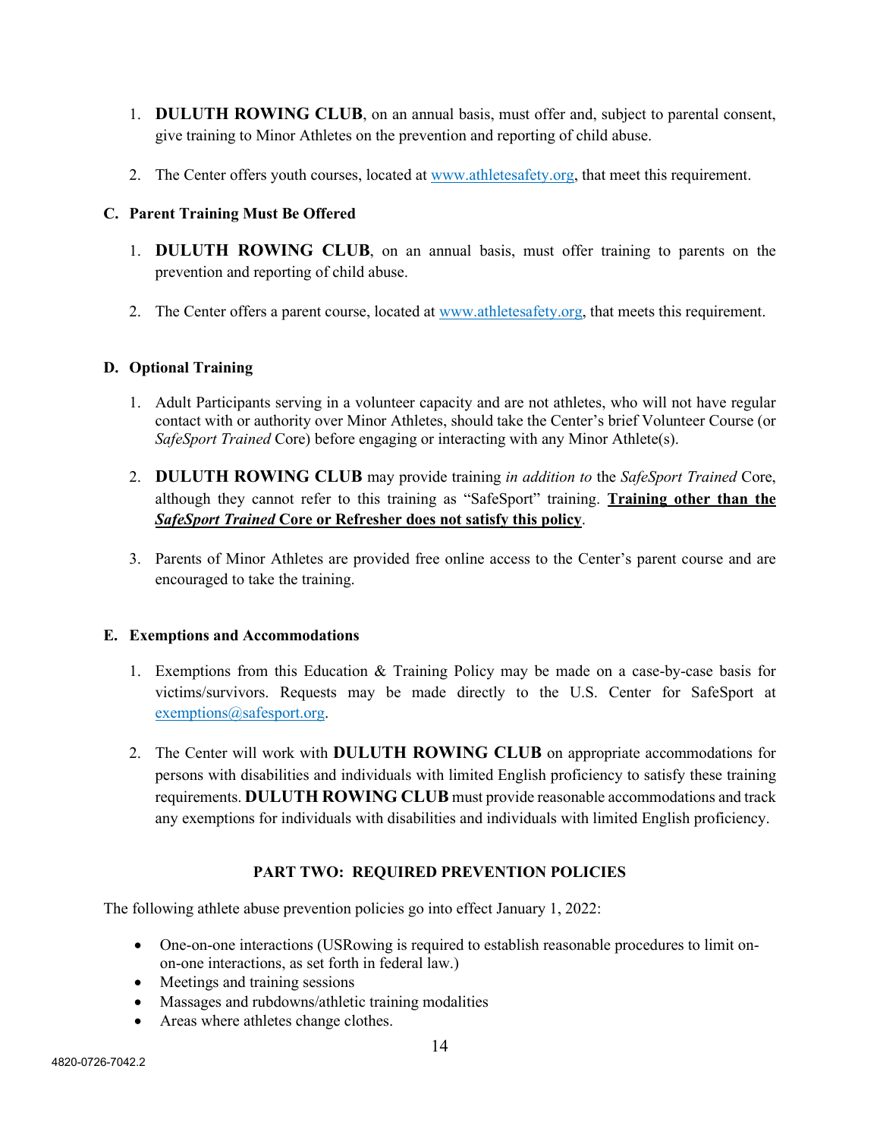- 1. **DULUTH ROWING CLUB**, on an annual basis, must offer and, subject to parental consent, give training to Minor Athletes on the prevention and reporting of child abuse.
- 2. The Center offers youth courses, located at [www.athletesafety.org,](http://www.athletesafety.org/) that meet this requirement.

## **C. Parent Training Must Be Offered**

- 1. **DULUTH ROWING CLUB**, on an annual basis, must offer training to parents on the prevention and reporting of child abuse.
- 2. The Center offers a parent course, located at [www.athletesafety.org,](http://www.athletesafety.org/) that meets this requirement.

## **D. Optional Training**

- 1. Adult Participants serving in a volunteer capacity and are not athletes, who will not have regular contact with or authority over Minor Athletes, should take the Center's brief Volunteer Course (or *SafeSport Trained* Core) before engaging or interacting with any Minor Athlete(s).
- 2. **DULUTH ROWING CLUB** may provide training *in addition to* the *SafeSport Trained* Core, although they cannot refer to this training as "SafeSport" training. **Training other than the**  *SafeSport Trained* **Core or Refresher does not satisfy this policy**.
- 3. Parents of Minor Athletes are provided free online access to the Center's parent course and are encouraged to take the training.

#### **E. Exemptions and Accommodations**

- 1. Exemptions from this Education & Training Policy may be made on a case-by-case basis for victims/survivors. Requests may be made directly to the U.S. Center for SafeSport at [exemptions@safesport.org.](mailto:training@safesport.org)
- 2. The Center will work with **DULUTH ROWING CLUB** on appropriate accommodations for persons with disabilities and individuals with limited English proficiency to satisfy these training requirements. **DULUTH ROWING CLUB** must provide reasonable accommodations and track any exemptions for individuals with disabilities and individuals with limited English proficiency.

## **PART TWO: REQUIRED PREVENTION POLICIES**

The following athlete abuse prevention policies go into effect January 1, 2022:

- One-on-one interactions (USRowing is required to establish reasonable procedures to limit onon-one interactions, as set forth in federal law.)
- Meetings and training sessions
- Massages and rubdowns/athletic training modalities
- Areas where athletes change clothes.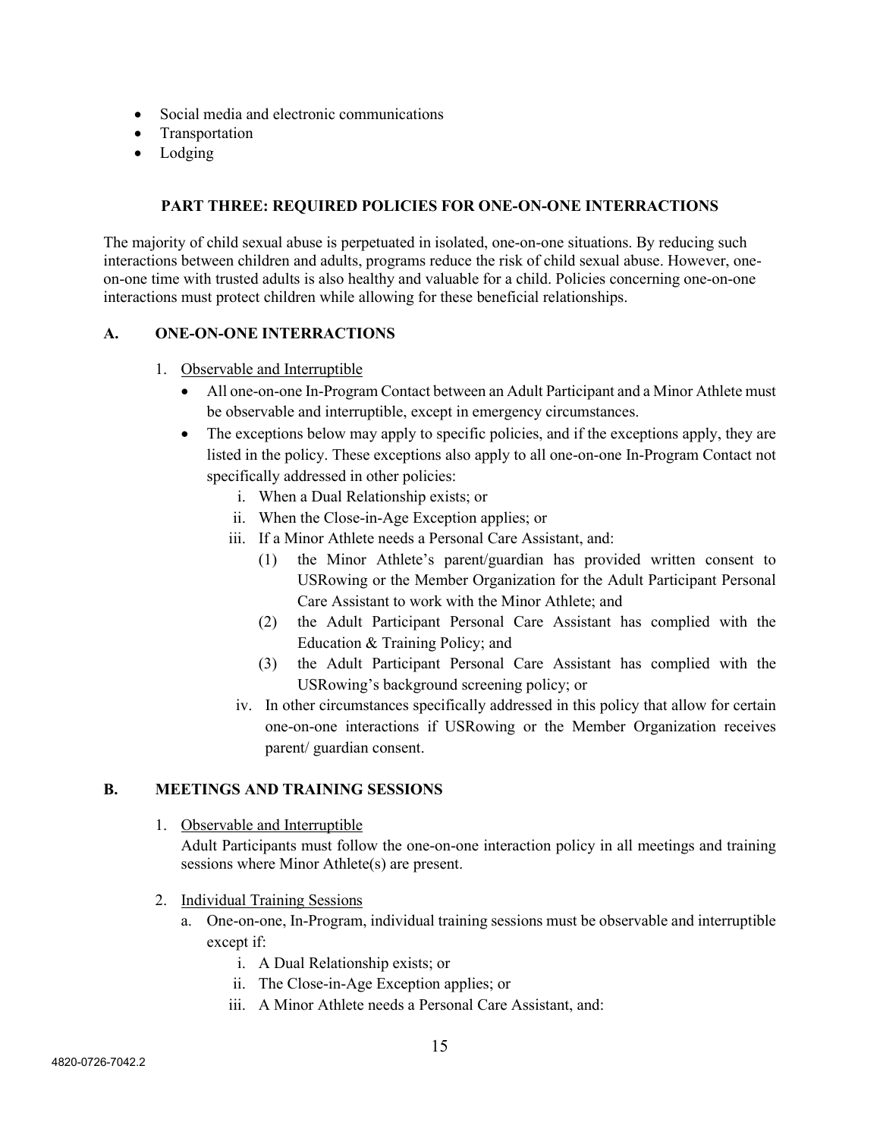- Social media and electronic communications
- Transportation
- Lodging

## **PART THREE: REQUIRED POLICIES FOR ONE-ON-ONE INTERRACTIONS**

The majority of child sexual abuse is perpetuated in isolated, one-on-one situations. By reducing such interactions between children and adults, programs reduce the risk of child sexual abuse. However, oneon-one time with trusted adults is also healthy and valuable for a child. Policies concerning one-on-one interactions must protect children while allowing for these beneficial relationships.

#### **A. ONE-ON-ONE INTERRACTIONS**

- 1. Observable and Interruptible
	- All one-on-one In-Program Contact between an Adult Participant and a Minor Athlete must be observable and interruptible, except in emergency circumstances.
	- The exceptions below may apply to specific policies, and if the exceptions apply, they are listed in the policy. These exceptions also apply to all one-on-one In-Program Contact not specifically addressed in other policies:
		- i. When a Dual Relationship exists; or
		- ii. When the Close-in-Age Exception applies; or
		- iii. If a Minor Athlete needs a Personal Care Assistant, and:
			- (1) the Minor Athlete's parent/guardian has provided written consent to USRowing or the Member Organization for the Adult Participant Personal Care Assistant to work with the Minor Athlete; and
			- (2) the Adult Participant Personal Care Assistant has complied with the Education & Training Policy; and
			- (3) the Adult Participant Personal Care Assistant has complied with the USRowing's background screening policy; or
		- iv. In other circumstances specifically addressed in this policy that allow for certain one-on-one interactions if USRowing or the Member Organization receives parent/ guardian consent.

#### **B. MEETINGS AND TRAINING SESSIONS**

1. Observable and Interruptible

Adult Participants must follow the one-on-one interaction policy in all meetings and training sessions where Minor Athlete(s) are present.

- 2. Individual Training Sessions
	- a. One-on-one, In-Program, individual training sessions must be observable and interruptible except if:
		- i. A Dual Relationship exists; or
		- ii. The Close-in-Age Exception applies; or
		- iii. A Minor Athlete needs a Personal Care Assistant, and: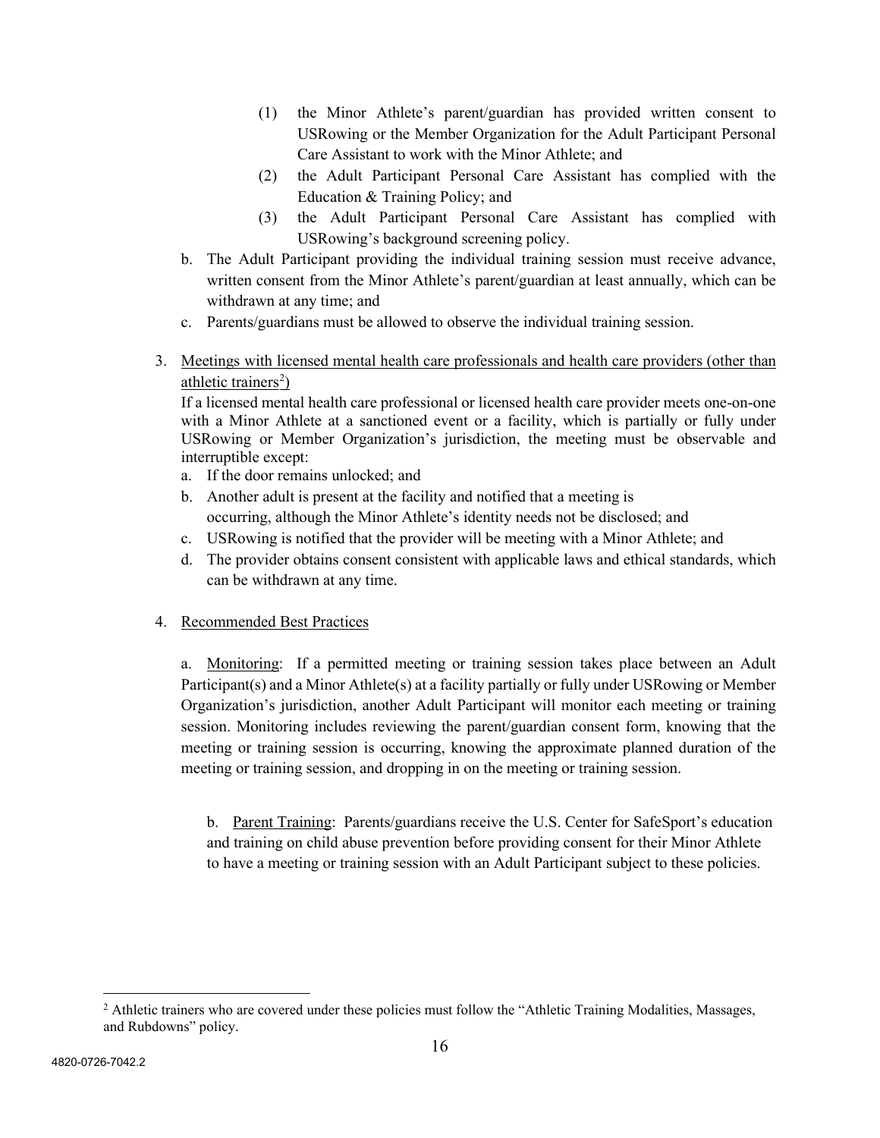- (1) the Minor Athlete's parent/guardian has provided written consent to USRowing or the Member Organization for the Adult Participant Personal Care Assistant to work with the Minor Athlete; and
- (2) the Adult Participant Personal Care Assistant has complied with the Education & Training Policy; and
- (3) the Adult Participant Personal Care Assistant has complied with USRowing's background screening policy.
- b. The Adult Participant providing the individual training session must receive advance, written consent from the Minor Athlete's parent/guardian at least annually, which can be withdrawn at any time; and
- c. Parents/guardians must be allowed to observe the individual training session.
- 3. Meetings with licensed mental health care professionals and health care providers (other than athletic trainers<sup>[2](#page-15-0)</sup>)

If a licensed mental health care professional or licensed health care provider meets one-on-one with a Minor Athlete at a sanctioned event or a facility, which is partially or fully under USRowing or Member Organization's jurisdiction, the meeting must be observable and interruptible except:

- a. If the door remains unlocked; and
- b. Another adult is present at the facility and notified that a meeting is occurring, although the Minor Athlete's identity needs not be disclosed; and
- c. USRowing is notified that the provider will be meeting with a Minor Athlete; and
- d. The provider obtains consent consistent with applicable laws and ethical standards, which can be withdrawn at any time.

## 4. Recommended Best Practices

a. Monitoring: If a permitted meeting or training session takes place between an Adult Participant(s) and a Minor Athlete(s) at a facility partially or fully under USRowing or Member Organization's jurisdiction, another Adult Participant will monitor each meeting or training session. Monitoring includes reviewing the parent/guardian consent form, knowing that the meeting or training session is occurring, knowing the approximate planned duration of the meeting or training session, and dropping in on the meeting or training session.

b. Parent Training: Parents/guardians receive the U.S. Center for SafeSport's education and training on child abuse prevention before providing consent for their Minor Athlete to have a meeting or training session with an Adult Participant subject to these policies.

<span id="page-15-0"></span><sup>&</sup>lt;sup>2</sup> Athletic trainers who are covered under these policies must follow the "Athletic Training Modalities, Massages, and Rubdowns" policy.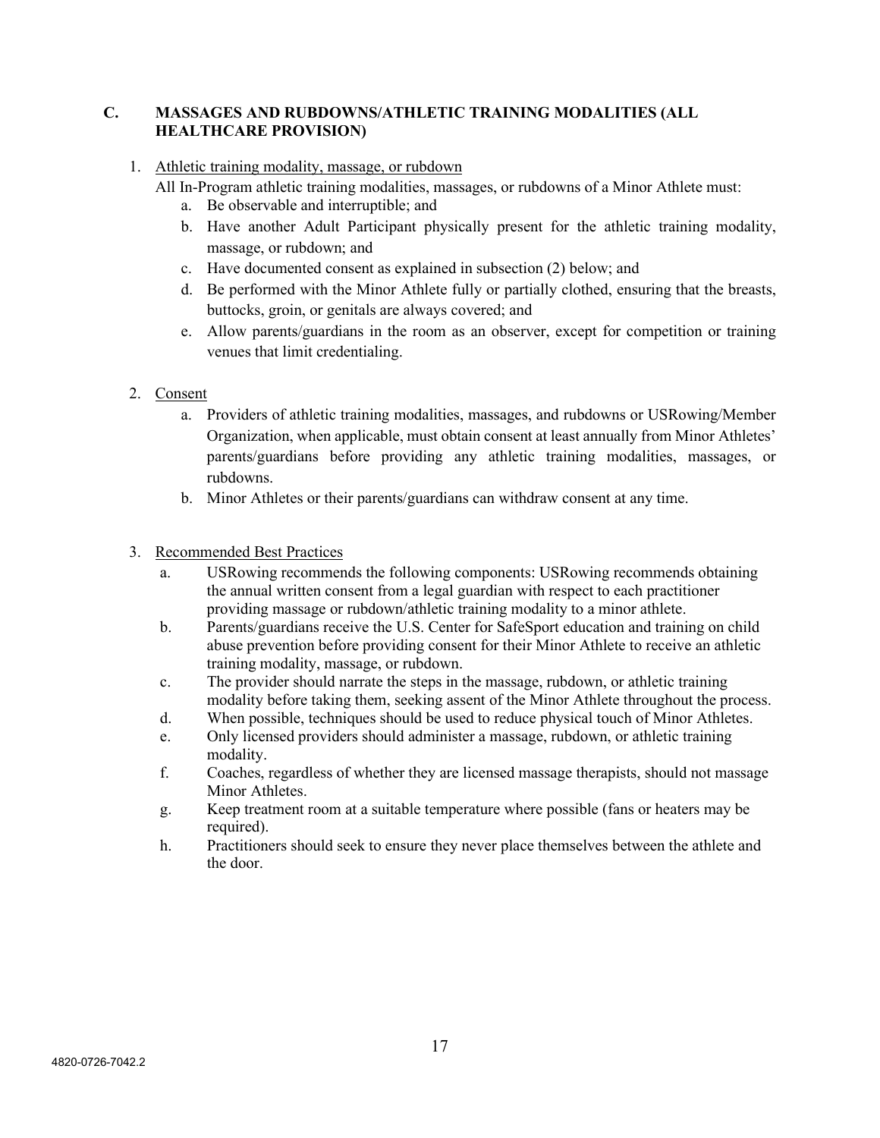## **C. MASSAGES AND RUBDOWNS/ATHLETIC TRAINING MODALITIES (ALL HEALTHCARE PROVISION)**

#### 1. Athletic training modality, massage, or rubdown

- All In-Program athletic training modalities, massages, or rubdowns of a Minor Athlete must:
	- a. Be observable and interruptible; and
	- b. Have another Adult Participant physically present for the athletic training modality, massage, or rubdown; and
	- c. Have documented consent as explained in subsection (2) below; and
	- d. Be performed with the Minor Athlete fully or partially clothed, ensuring that the breasts, buttocks, groin, or genitals are always covered; and
	- e. Allow parents/guardians in the room as an observer, except for competition or training venues that limit credentialing.
- 2. Consent
	- a. Providers of athletic training modalities, massages, and rubdowns or USRowing/Member Organization, when applicable, must obtain consent at least annually from Minor Athletes' parents/guardians before providing any athletic training modalities, massages, or rubdowns.
	- b. Minor Athletes or their parents/guardians can withdraw consent at any time.
- 3. Recommended Best Practices
	- a. USRowing recommends the following components: USRowing recommends obtaining the annual written consent from a legal guardian with respect to each practitioner providing massage or rubdown/athletic training modality to a minor athlete.
	- b. Parents/guardians receive the U.S. Center for SafeSport education and training on child abuse prevention before providing consent for their Minor Athlete to receive an athletic training modality, massage, or rubdown.
	- c. The provider should narrate the steps in the massage, rubdown, or athletic training modality before taking them, seeking assent of the Minor Athlete throughout the process.
	- d. When possible, techniques should be used to reduce physical touch of Minor Athletes.
	- e. Only licensed providers should administer a massage, rubdown, or athletic training modality.
	- f. Coaches, regardless of whether they are licensed massage therapists, should not massage Minor Athletes.
	- g. Keep treatment room at a suitable temperature where possible (fans or heaters may be required).
	- h. Practitioners should seek to ensure they never place themselves between the athlete and the door.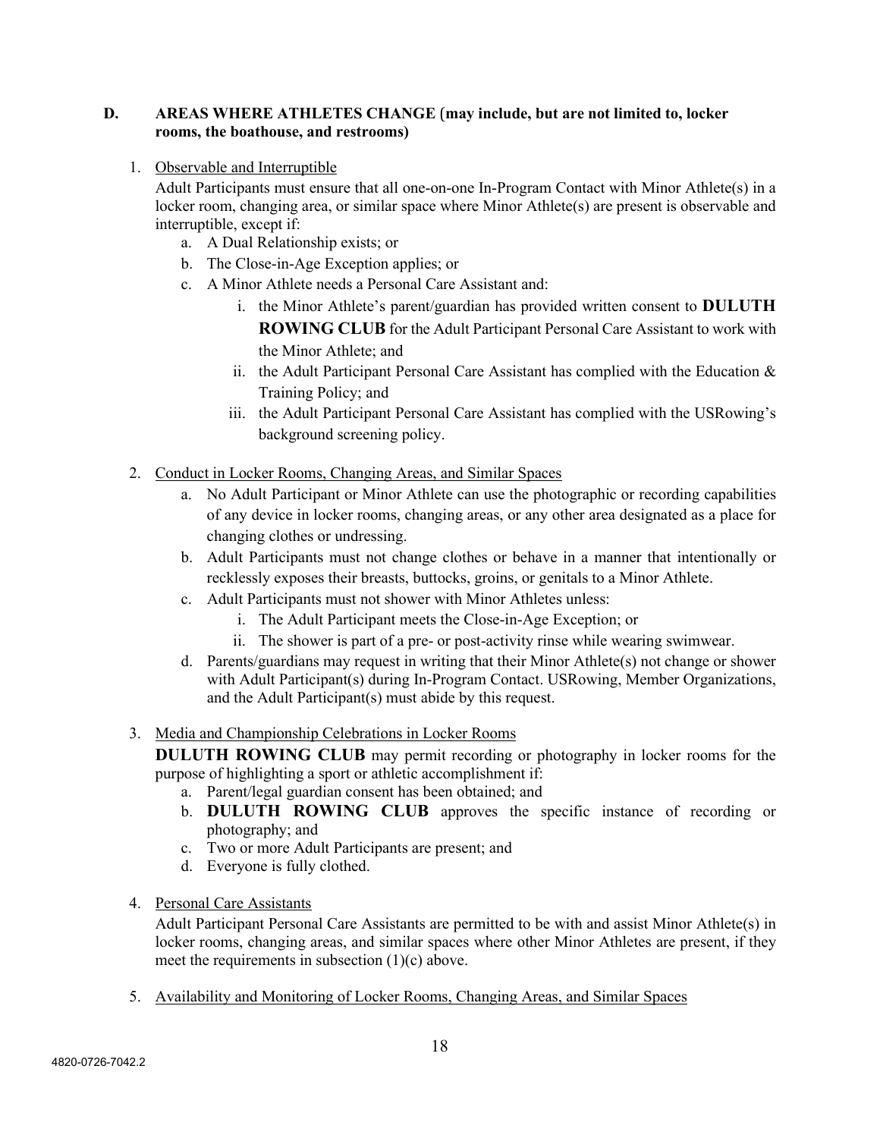### **D. AREAS WHERE ATHLETES CHANGE** (**may include, but are not limited to, locker rooms, the boathouse, and restrooms)**

1. Observable and Interruptible

Adult Participants must ensure that all one-on-one In-Program Contact with Minor Athlete(s) in a locker room, changing area, or similar space where Minor Athlete(s) are present is observable and interruptible, except if:

- a. A Dual Relationship exists; or
- b. The Close-in-Age Exception applies; or
- c. A Minor Athlete needs a Personal Care Assistant and:
	- i. the Minor Athlete's parent/guardian has provided written consent to **DULUTH ROWING CLUB** for the Adult Participant Personal Care Assistant to work with the Minor Athlete; and
	- ii. the Adult Participant Personal Care Assistant has complied with the Education  $\&$ Training Policy; and
	- iii. the Adult Participant Personal Care Assistant has complied with the USRowing's background screening policy.
- 2. Conduct in Locker Rooms, Changing Areas, and Similar Spaces
	- a. No Adult Participant or Minor Athlete can use the photographic or recording capabilities of any device in locker rooms, changing areas, or any other area designated as a place for changing clothes or undressing.
	- b. Adult Participants must not change clothes or behave in a manner that intentionally or recklessly exposes their breasts, buttocks, groins, or genitals to a Minor Athlete.
	- c. Adult Participants must not shower with Minor Athletes unless:
		- i. The Adult Participant meets the Close-in-Age Exception; or
		- ii. The shower is part of a pre- or post-activity rinse while wearing swimwear.
	- d. Parents/guardians may request in writing that their Minor Athlete(s) not change or shower with Adult Participant(s) during In-Program Contact. USRowing, Member Organizations, and the Adult Participant(s) must abide by this request.

#### 3. Media and Championship Celebrations in Locker Rooms

**DULUTH ROWING CLUB** may permit recording or photography in locker rooms for the purpose of highlighting a sport or athletic accomplishment if:

- a. Parent/legal guardian consent has been obtained; and
- b. **DULUTH ROWING CLUB** approves the specific instance of recording or photography; and
- c. Two or more Adult Participants are present; and
- d. Everyone is fully clothed.
- 4. Personal Care Assistants

Adult Participant Personal Care Assistants are permitted to be with and assist Minor Athlete(s) in locker rooms, changing areas, and similar spaces where other Minor Athletes are present, if they meet the requirements in subsection (1)(c) above.

5. Availability and Monitoring of Locker Rooms, Changing Areas, and Similar Spaces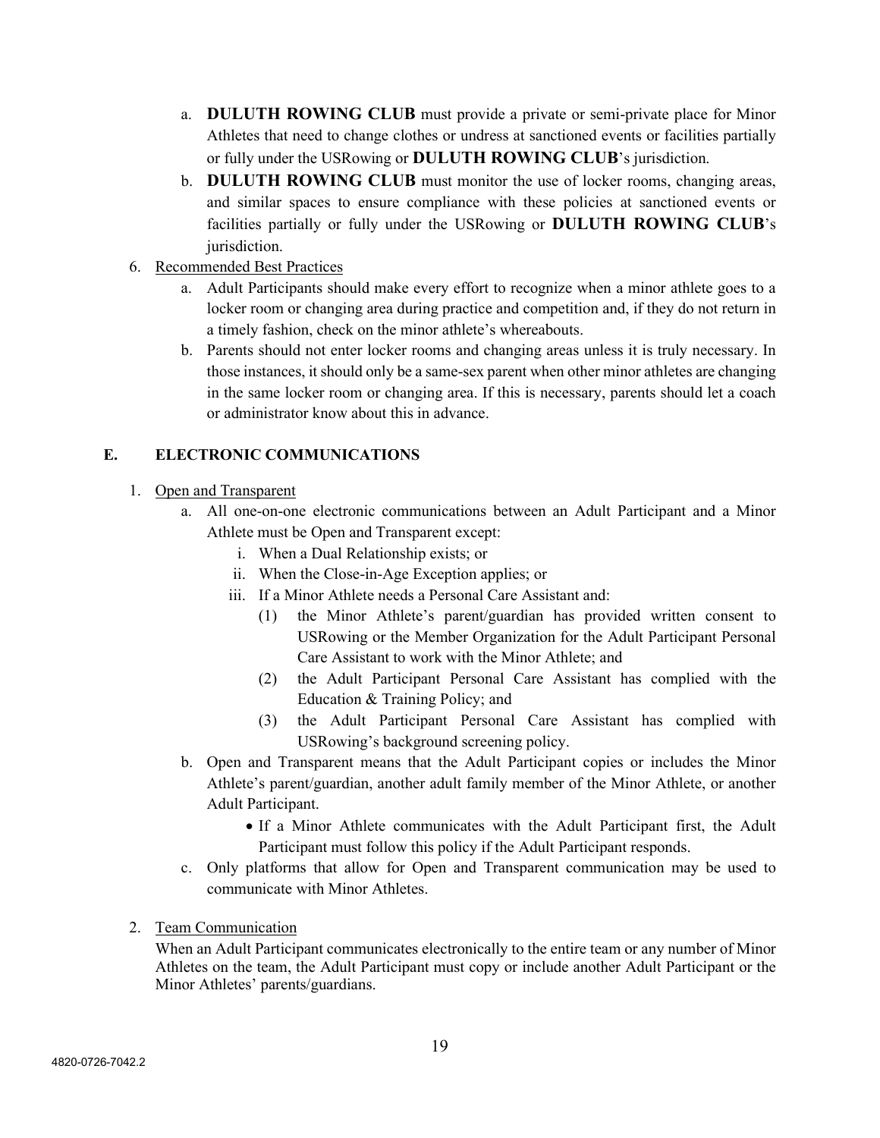- a. **DULUTH ROWING CLUB** must provide a private or semi-private place for Minor Athletes that need to change clothes or undress at sanctioned events or facilities partially or fully under the USRowing or **DULUTH ROWING CLUB**'s jurisdiction.
- b. **DULUTH ROWING CLUB** must monitor the use of locker rooms, changing areas, and similar spaces to ensure compliance with these policies at sanctioned events or facilities partially or fully under the USRowing or **DULUTH ROWING CLUB**'s jurisdiction.
- 6. Recommended Best Practices
	- a. Adult Participants should make every effort to recognize when a minor athlete goes to a locker room or changing area during practice and competition and, if they do not return in a timely fashion, check on the minor athlete's whereabouts.
	- b. Parents should not enter locker rooms and changing areas unless it is truly necessary. In those instances, it should only be a same-sex parent when other minor athletes are changing in the same locker room or changing area. If this is necessary, parents should let a coach or administrator know about this in advance.

# **E. ELECTRONIC COMMUNICATIONS**

# 1. Open and Transparent

- a. All one-on-one electronic communications between an Adult Participant and a Minor Athlete must be Open and Transparent except:
	- i. When a Dual Relationship exists; or
	- ii. When the Close-in-Age Exception applies; or
	- iii. If a Minor Athlete needs a Personal Care Assistant and:
		- (1) the Minor Athlete's parent/guardian has provided written consent to USRowing or the Member Organization for the Adult Participant Personal Care Assistant to work with the Minor Athlete; and
		- (2) the Adult Participant Personal Care Assistant has complied with the Education & Training Policy; and
		- (3) the Adult Participant Personal Care Assistant has complied with USRowing's background screening policy.
- b. Open and Transparent means that the Adult Participant copies or includes the Minor Athlete's parent/guardian, another adult family member of the Minor Athlete, or another Adult Participant.
	- If a Minor Athlete communicates with the Adult Participant first, the Adult Participant must follow this policy if the Adult Participant responds.
- c. Only platforms that allow for Open and Transparent communication may be used to communicate with Minor Athletes.
- 2. Team Communication

When an Adult Participant communicates electronically to the entire team or any number of Minor Athletes on the team, the Adult Participant must copy or include another Adult Participant or the Minor Athletes' parents/guardians.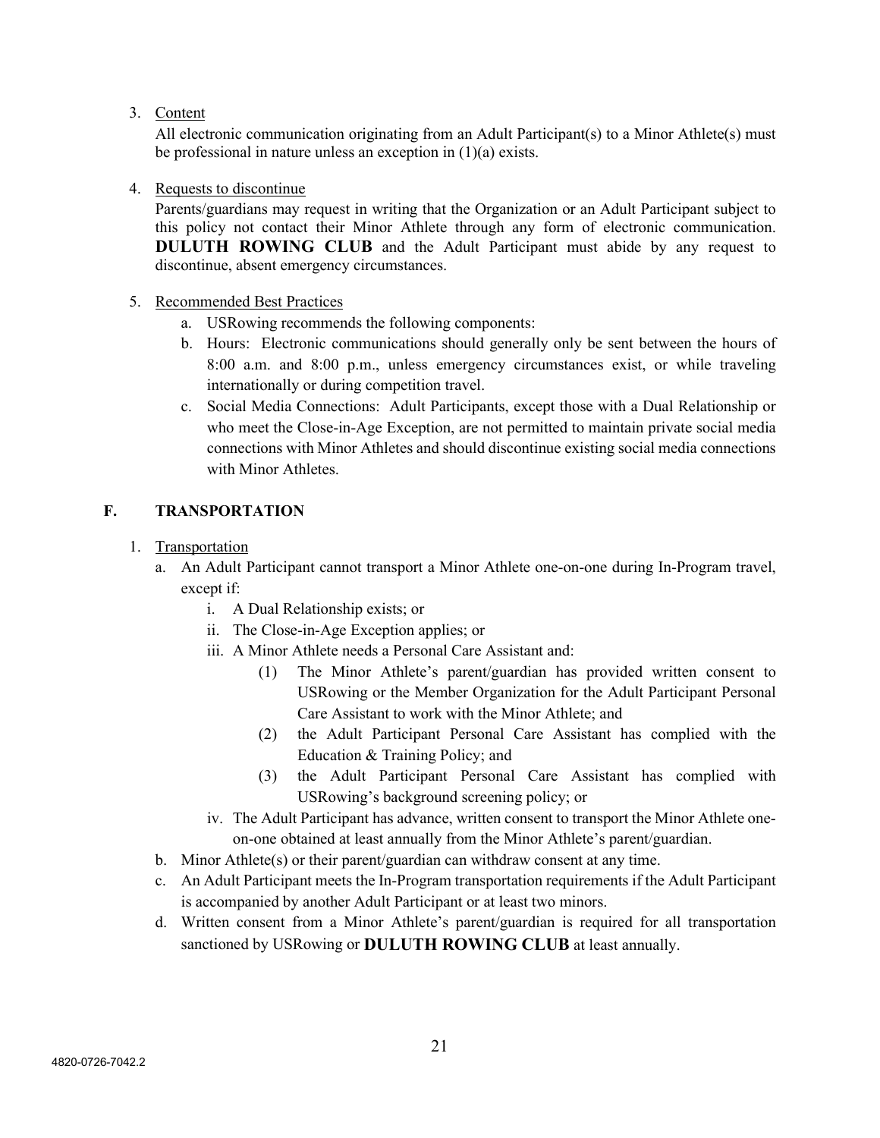3. Content

All electronic communication originating from an Adult Participant(s) to a Minor Athlete(s) must be professional in nature unless an exception in (1)(a) exists.

### 4. Requests to discontinue

Parents/guardians may request in writing that the Organization or an Adult Participant subject to this policy not contact their Minor Athlete through any form of electronic communication. **DULUTH ROWING CLUB** and the Adult Participant must abide by any request to discontinue, absent emergency circumstances.

- 5. Recommended Best Practices
	- a. USRowing recommends the following components:
	- b. Hours: Electronic communications should generally only be sent between the hours of 8:00 a.m. and 8:00 p.m., unless emergency circumstances exist, or while traveling internationally or during competition travel.
	- c. Social Media Connections: Adult Participants, except those with a Dual Relationship or who meet the Close-in-Age Exception, are not permitted to maintain private social media connections with Minor Athletes and should discontinue existing social media connections with Minor Athletes.

## **F. TRANSPORTATION**

- 1. Transportation
	- a. An Adult Participant cannot transport a Minor Athlete one-on-one during In-Program travel, except if:
		- i. A Dual Relationship exists; or
		- ii. The Close-in-Age Exception applies; or
		- iii. A Minor Athlete needs a Personal Care Assistant and:
			- (1) The Minor Athlete's parent/guardian has provided written consent to USRowing or the Member Organization for the Adult Participant Personal Care Assistant to work with the Minor Athlete; and
			- (2) the Adult Participant Personal Care Assistant has complied with the Education & Training Policy; and
			- (3) the Adult Participant Personal Care Assistant has complied with USRowing's background screening policy; or
		- iv. The Adult Participant has advance, written consent to transport the Minor Athlete oneon-one obtained at least annually from the Minor Athlete's parent/guardian.
	- b. Minor Athlete(s) or their parent/guardian can withdraw consent at any time.
	- c. An Adult Participant meets the In-Program transportation requirements if the Adult Participant is accompanied by another Adult Participant or at least two minors.
	- d. Written consent from a Minor Athlete's parent/guardian is required for all transportation sanctioned by USRowing or **DULUTH ROWING CLUB** at least annually.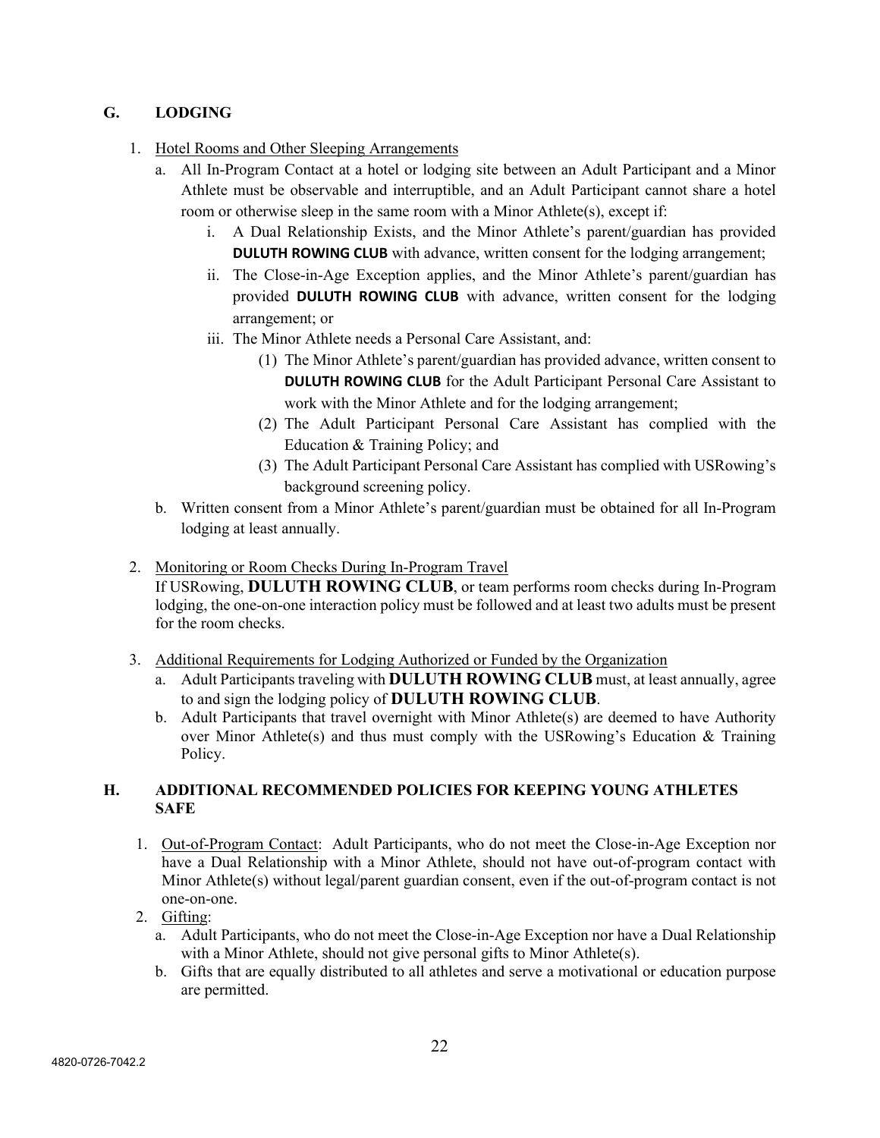# **G. LODGING**

- 1. Hotel Rooms and Other Sleeping Arrangements
	- a. All In-Program Contact at a hotel or lodging site between an Adult Participant and a Minor Athlete must be observable and interruptible, and an Adult Participant cannot share a hotel room or otherwise sleep in the same room with a Minor Athlete(s), except if:
		- i. A Dual Relationship Exists, and the Minor Athlete's parent/guardian has provided **DULUTH ROWING CLUB** with advance, written consent for the lodging arrangement;
		- ii. The Close-in-Age Exception applies, and the Minor Athlete's parent/guardian has provided **DULUTH ROWING CLUB** with advance, written consent for the lodging arrangement; or
		- iii. The Minor Athlete needs a Personal Care Assistant, and:
			- (1) The Minor Athlete's parent/guardian has provided advance, written consent to **DULUTH ROWING CLUB** for the Adult Participant Personal Care Assistant to work with the Minor Athlete and for the lodging arrangement;
			- (2) The Adult Participant Personal Care Assistant has complied with the Education & Training Policy; and
			- (3) The Adult Participant Personal Care Assistant has complied with USRowing's background screening policy.
	- b. Written consent from a Minor Athlete's parent/guardian must be obtained for all In-Program lodging at least annually.
- 2. Monitoring or Room Checks During In-Program Travel

If USRowing, **DULUTH ROWING CLUB**, or team performs room checks during In-Program lodging, the one-on-one interaction policy must be followed and at least two adults must be present for the room checks.

- 3. Additional Requirements for Lodging Authorized or Funded by the Organization
	- a. Adult Participants traveling with **DULUTH ROWING CLUB** must, at least annually, agree to and sign the lodging policy of **DULUTH ROWING CLUB**.
	- b. Adult Participants that travel overnight with Minor Athlete(s) are deemed to have Authority over Minor Athlete(s) and thus must comply with the USRowing's Education & Training Policy.

## **H. ADDITIONAL RECOMMENDED POLICIES FOR KEEPING YOUNG ATHLETES SAFE**

- 1. Out-of-Program Contact: Adult Participants, who do not meet the Close-in-Age Exception nor have a Dual Relationship with a Minor Athlete, should not have out-of-program contact with Minor Athlete(s) without legal/parent guardian consent, even if the out-of-program contact is not one-on-one.
- 2. Gifting:
	- a. Adult Participants, who do not meet the Close-in-Age Exception nor have a Dual Relationship with a Minor Athlete, should not give personal gifts to Minor Athlete(s).
	- b. Gifts that are equally distributed to all athletes and serve a motivational or education purpose are permitted.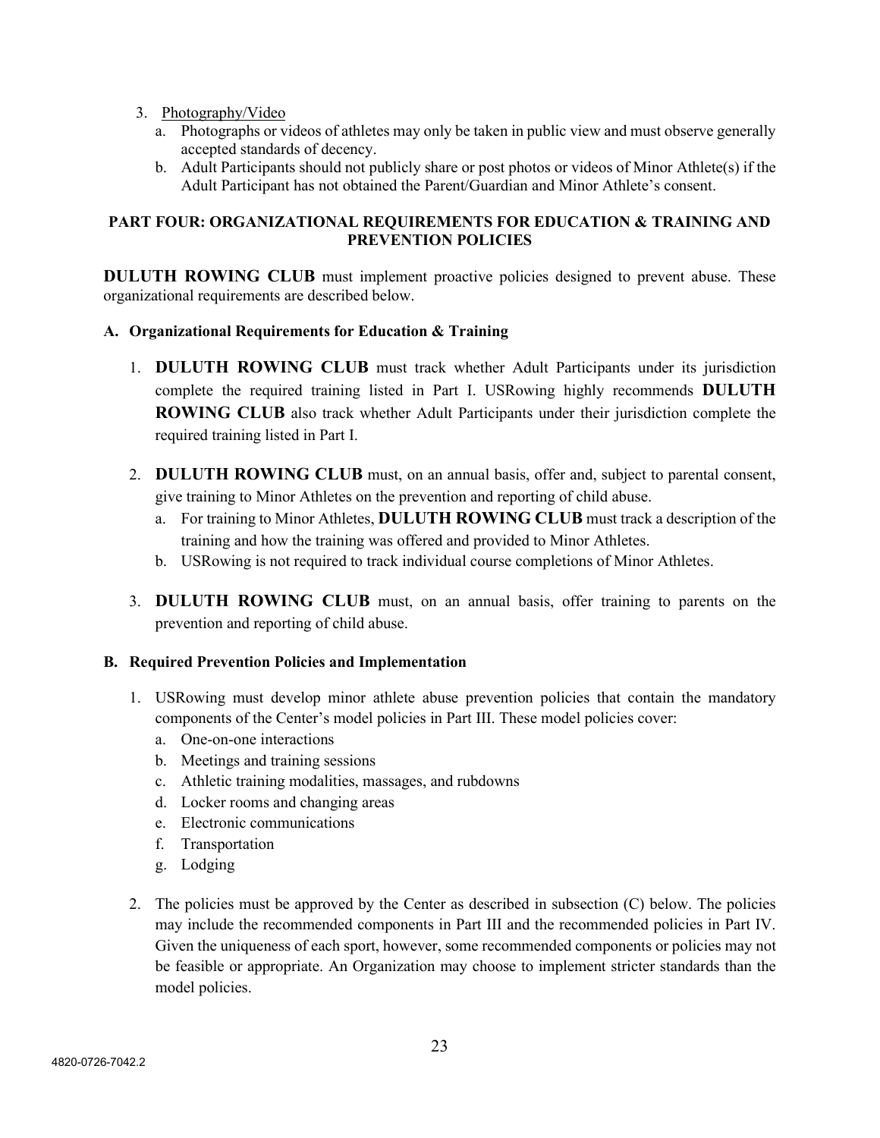- 3. Photography/Video
	- a. Photographs or videos of athletes may only be taken in public view and must observe generally accepted standards of decency.
	- b. Adult Participants should not publicly share or post photos or videos of Minor Athlete(s) if the Adult Participant has not obtained the Parent/Guardian and Minor Athlete's consent.

### **PART FOUR: ORGANIZATIONAL REQUIREMENTS FOR EDUCATION & TRAINING AND PREVENTION POLICIES**

**DULUTH ROWING CLUB** must implement proactive policies designed to prevent abuse. These organizational requirements are described below.

#### **A. Organizational Requirements for Education & Training**

- 1. **DULUTH ROWING CLUB** must track whether Adult Participants under its jurisdiction complete the required training listed in Part I. USRowing highly recommends **DULUTH ROWING CLUB** also track whether Adult Participants under their jurisdiction complete the required training listed in Part I.
- 2. **DULUTH ROWING CLUB** must, on an annual basis, offer and, subject to parental consent, give training to Minor Athletes on the prevention and reporting of child abuse.
	- a. For training to Minor Athletes, **DULUTH ROWING CLUB** must track a description of the training and how the training was offered and provided to Minor Athletes.
	- b. USRowing is not required to track individual course completions of Minor Athletes.
- 3. **DULUTH ROWING CLUB** must, on an annual basis, offer training to parents on the prevention and reporting of child abuse.

#### **B. Required Prevention Policies and Implementation**

- 1. USRowing must develop minor athlete abuse prevention policies that contain the mandatory components of the Center's model policies in Part III. These model policies cover:
	- a. One-on-one interactions
	- b. Meetings and training sessions
	- c. Athletic training modalities, massages, and rubdowns
	- d. Locker rooms and changing areas
	- e. Electronic communications
	- f. Transportation
	- g. Lodging
- 2. The policies must be approved by the Center as described in subsection (C) below. The policies may include the recommended components in Part III and the recommended policies in Part IV. Given the uniqueness of each sport, however, some recommended components or policies may not be feasible or appropriate. An Organization may choose to implement stricter standards than the model policies.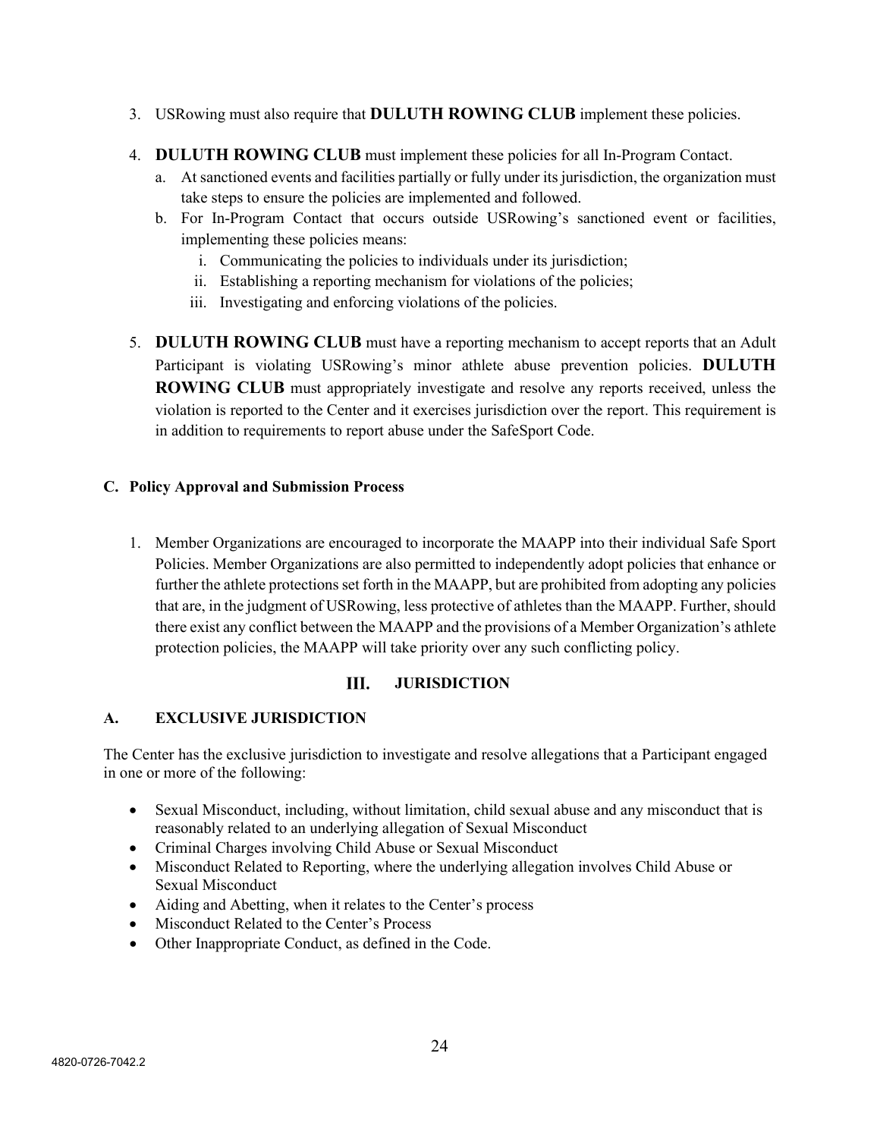- 3. USRowing must also require that **DULUTH ROWING CLUB** implement these policies.
- 4. **DULUTH ROWING CLUB** must implement these policies for all In-Program Contact.
	- a. At sanctioned events and facilities partially or fully under its jurisdiction, the organization must take steps to ensure the policies are implemented and followed.
	- b. For In-Program Contact that occurs outside USRowing's sanctioned event or facilities, implementing these policies means:
		- i. Communicating the policies to individuals under its jurisdiction;
		- ii. Establishing a reporting mechanism for violations of the policies;
		- iii. Investigating and enforcing violations of the policies.
- 5. **DULUTH ROWING CLUB** must have a reporting mechanism to accept reports that an Adult Participant is violating USRowing's minor athlete abuse prevention policies. **DULUTH ROWING CLUB** must appropriately investigate and resolve any reports received, unless the violation is reported to the Center and it exercises jurisdiction over the report. This requirement is in addition to requirements to report abuse under the SafeSport Code.

#### **C. Policy Approval and Submission Process**

1. Member Organizations are encouraged to incorporate the MAAPP into their individual Safe Sport Policies. Member Organizations are also permitted to independently adopt policies that enhance or further the athlete protections set forth in the MAAPP, but are prohibited from adopting any policies that are, in the judgment of USRowing, less protective of athletes than the MAAPP. Further, should there exist any conflict between the MAAPP and the provisions of a Member Organization's athlete protection policies, the MAAPP will take priority over any such conflicting policy.

#### III. **JURISDICTION**

#### **A. EXCLUSIVE JURISDICTION**

The Center has the exclusive jurisdiction to investigate and resolve allegations that a Participant engaged in one or more of the following:

- Sexual Misconduct, including, without limitation, child sexual abuse and any misconduct that is reasonably related to an underlying allegation of Sexual Misconduct
- Criminal Charges involving Child Abuse or Sexual Misconduct
- Misconduct Related to Reporting, where the underlying allegation involves Child Abuse or Sexual Misconduct
- Aiding and Abetting, when it relates to the Center's process
- Misconduct Related to the Center's Process
- Other Inappropriate Conduct, as defined in the Code.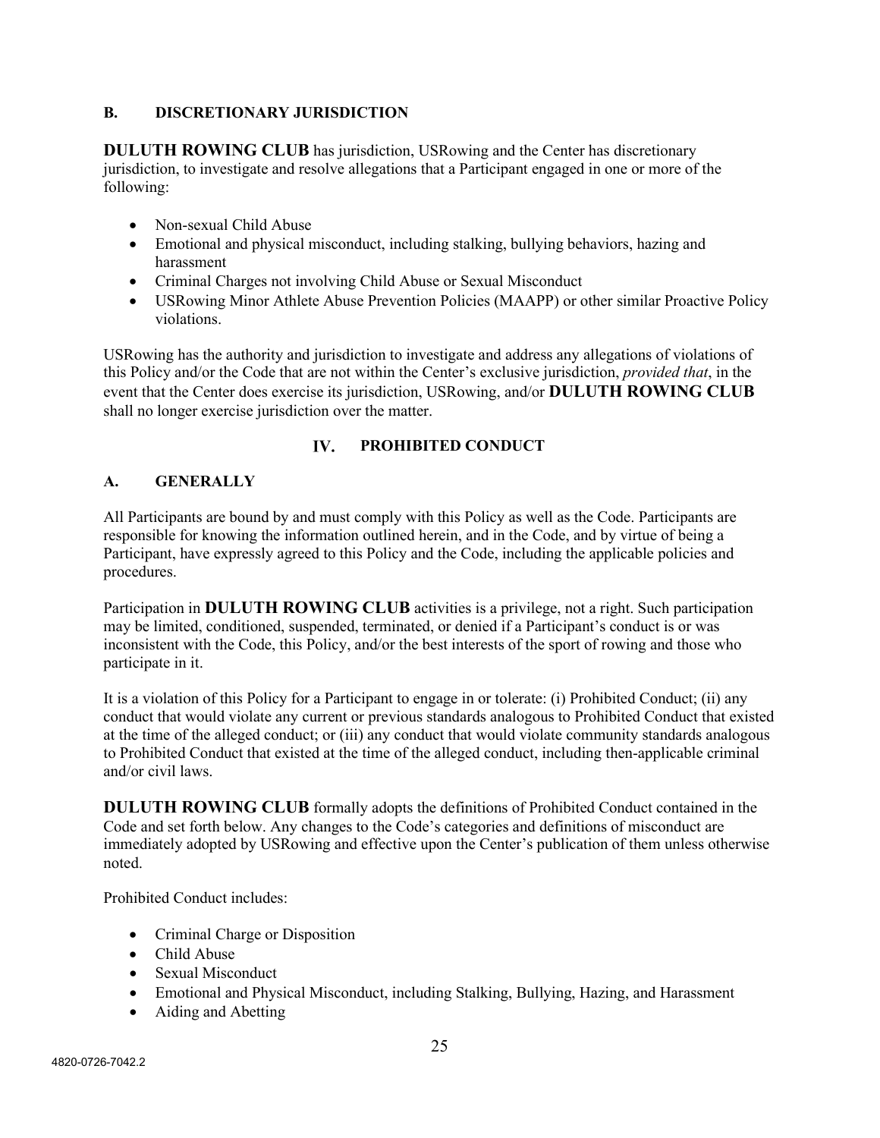## **B. DISCRETIONARY JURISDICTION**

**DULUTH ROWING CLUB** has jurisdiction, USRowing and the Center has discretionary jurisdiction, to investigate and resolve allegations that a Participant engaged in one or more of the following:

- Non-sexual Child Abuse
- Emotional and physical misconduct, including stalking, bullying behaviors, hazing and harassment
- Criminal Charges not involving Child Abuse or Sexual Misconduct
- USRowing Minor Athlete Abuse Prevention Policies (MAAPP) or other similar Proactive Policy violations.

USRowing has the authority and jurisdiction to investigate and address any allegations of violations of this Policy and/or the Code that are not within the Center's exclusive jurisdiction, *provided that*, in the event that the Center does exercise its jurisdiction, USRowing, and/or **DULUTH ROWING CLUB** shall no longer exercise jurisdiction over the matter.

#### IV. **PROHIBITED CONDUCT**

## **A. GENERALLY**

All Participants are bound by and must comply with this Policy as well as the Code. Participants are responsible for knowing the information outlined herein, and in the Code, and by virtue of being a Participant, have expressly agreed to this Policy and the Code, including the applicable policies and procedures.

Participation in **DULUTH ROWING CLUB** activities is a privilege, not a right. Such participation may be limited, conditioned, suspended, terminated, or denied if a Participant's conduct is or was inconsistent with the Code, this Policy, and/or the best interests of the sport of rowing and those who participate in it.

It is a violation of this Policy for a Participant to engage in or tolerate: (i) Prohibited Conduct; (ii) any conduct that would violate any current or previous standards analogous to Prohibited Conduct that existed at the time of the alleged conduct; or (iii) any conduct that would violate community standards analogous to Prohibited Conduct that existed at the time of the alleged conduct, including then-applicable criminal and/or civil laws.

**DULUTH ROWING CLUB** formally adopts the definitions of Prohibited Conduct contained in the Code and set forth below. Any changes to the Code's categories and definitions of misconduct are immediately adopted by USRowing and effective upon the Center's publication of them unless otherwise noted.

Prohibited Conduct includes:

- Criminal Charge or Disposition
- Child Abuse
- Sexual Misconduct
- Emotional and Physical Misconduct, including Stalking, Bullying, Hazing, and Harassment
- Aiding and Abetting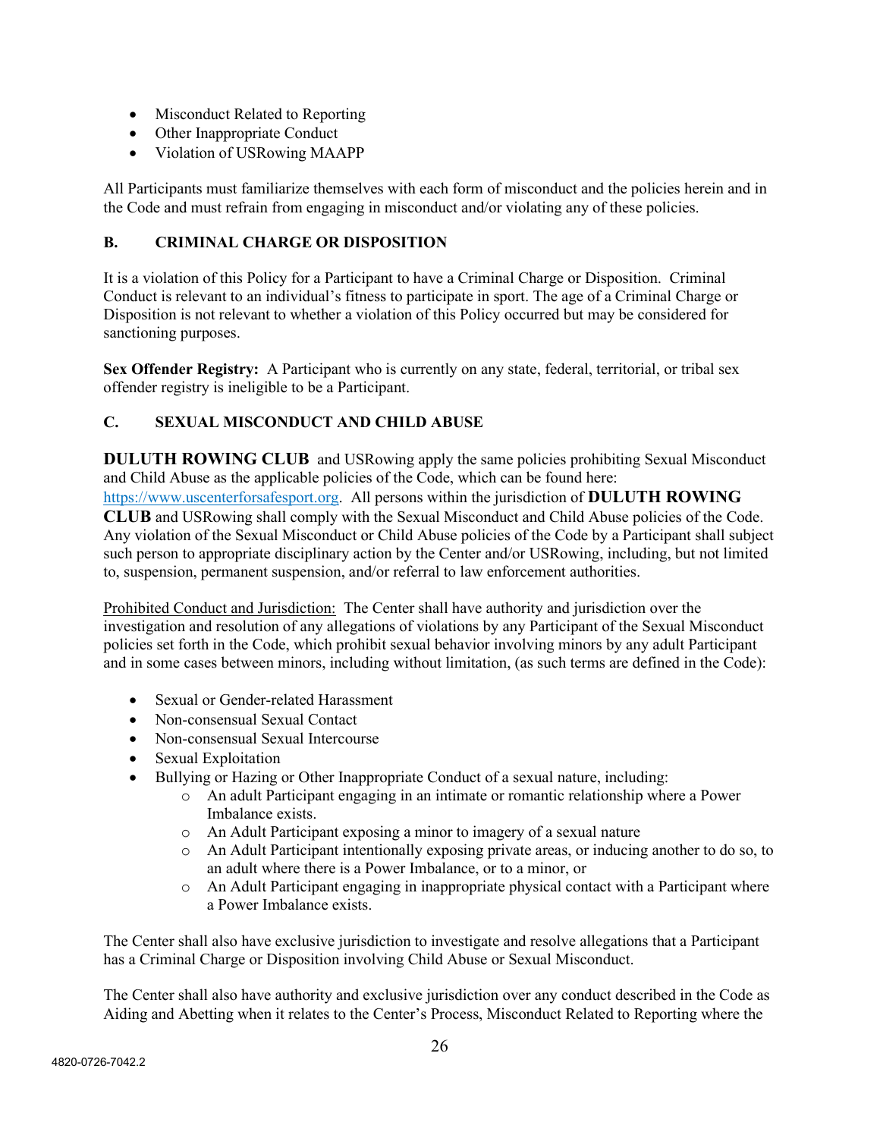- Misconduct Related to Reporting
- Other Inappropriate Conduct
- Violation of USRowing MAAPP

All Participants must familiarize themselves with each form of misconduct and the policies herein and in the Code and must refrain from engaging in misconduct and/or violating any of these policies.

## **B. CRIMINAL CHARGE OR DISPOSITION**

It is a violation of this Policy for a Participant to have a Criminal Charge or Disposition. Criminal Conduct is relevant to an individual's fitness to participate in sport. The age of a Criminal Charge or Disposition is not relevant to whether a violation of this Policy occurred but may be considered for sanctioning purposes.

**Sex Offender Registry:** A Participant who is currently on any state, federal, territorial, or tribal sex offender registry is ineligible to be a Participant.

# **C. SEXUAL MISCONDUCT AND CHILD ABUSE**

**DULUTH ROWING CLUB** and USRowing apply the same policies prohibiting Sexual Misconduct and Child Abuse as the applicable policies of the Code, which can be found here:

[https://www.uscenterforsafesport.org.](https://www.uscenterforsafesport.org/) All persons within the jurisdiction of **DULUTH ROWING CLUB** and USRowing shall comply with the Sexual Misconduct and Child Abuse policies of the Code. Any violation of the Sexual Misconduct or Child Abuse policies of the Code by a Participant shall subject such person to appropriate disciplinary action by the Center and/or USRowing, including, but not limited to, suspension, permanent suspension, and/or referral to law enforcement authorities.

Prohibited Conduct and Jurisdiction: The Center shall have authority and jurisdiction over the investigation and resolution of any allegations of violations by any Participant of the Sexual Misconduct policies set forth in the Code, which prohibit sexual behavior involving minors by any adult Participant and in some cases between minors, including without limitation, (as such terms are defined in the Code):

- Sexual or Gender-related Harassment
- Non-consensual Sexual Contact
- Non-consensual Sexual Intercourse
- Sexual Exploitation
- Bullying or Hazing or Other Inappropriate Conduct of a sexual nature, including:
	- o An adult Participant engaging in an intimate or romantic relationship where a Power Imbalance exists.
	- o An Adult Participant exposing a minor to imagery of a sexual nature
	- o An Adult Participant intentionally exposing private areas, or inducing another to do so, to an adult where there is a Power Imbalance, or to a minor, or
	- $\circ$  An Adult Participant engaging in inappropriate physical contact with a Participant where a Power Imbalance exists.

The Center shall also have exclusive jurisdiction to investigate and resolve allegations that a Participant has a Criminal Charge or Disposition involving Child Abuse or Sexual Misconduct.

The Center shall also have authority and exclusive jurisdiction over any conduct described in the Code as Aiding and Abetting when it relates to the Center's Process, Misconduct Related to Reporting where the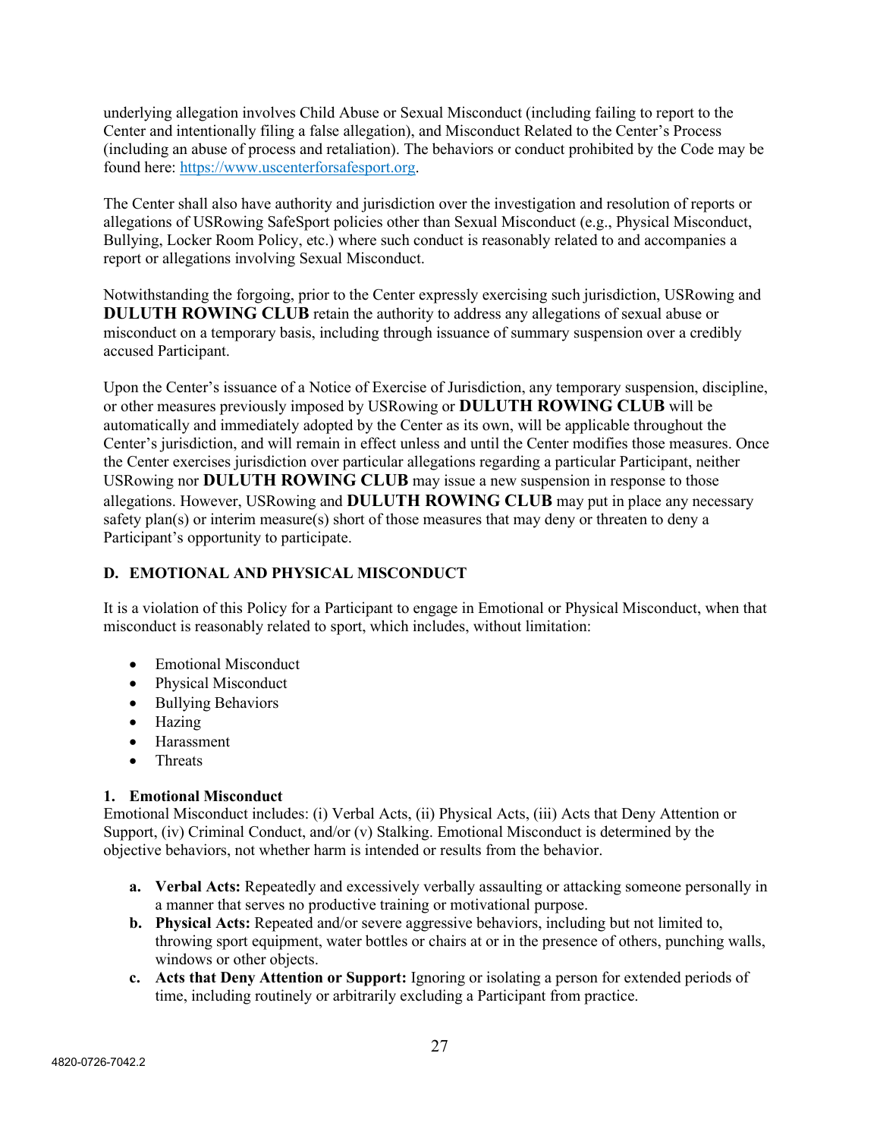underlying allegation involves Child Abuse or Sexual Misconduct (including failing to report to the Center and intentionally filing a false allegation), and Misconduct Related to the Center's Process (including an abuse of process and retaliation). The behaviors or conduct prohibited by the Code may be found here: [https://www.uscenterforsafesport.org.](https://www.uscenterforsafesport.org/)

The Center shall also have authority and jurisdiction over the investigation and resolution of reports or allegations of USRowing SafeSport policies other than Sexual Misconduct (e.g., Physical Misconduct, Bullying, Locker Room Policy, etc.) where such conduct is reasonably related to and accompanies a report or allegations involving Sexual Misconduct.

Notwithstanding the forgoing, prior to the Center expressly exercising such jurisdiction, USRowing and **DULUTH ROWING CLUB** retain the authority to address any allegations of sexual abuse or misconduct on a temporary basis, including through issuance of summary suspension over a credibly accused Participant.

Upon the Center's issuance of a Notice of Exercise of Jurisdiction, any temporary suspension, discipline, or other measures previously imposed by USRowing or **DULUTH ROWING CLUB** will be automatically and immediately adopted by the Center as its own, will be applicable throughout the Center's jurisdiction, and will remain in effect unless and until the Center modifies those measures. Once the Center exercises jurisdiction over particular allegations regarding a particular Participant, neither USRowing nor **DULUTH ROWING CLUB** may issue a new suspension in response to those allegations. However, USRowing and **DULUTH ROWING CLUB** may put in place any necessary safety plan(s) or interim measure(s) short of those measures that may deny or threaten to deny a Participant's opportunity to participate.

## **D. EMOTIONAL AND PHYSICAL MISCONDUCT**

It is a violation of this Policy for a Participant to engage in Emotional or Physical Misconduct, when that misconduct is reasonably related to sport, which includes, without limitation:

- Emotional Misconduct
- Physical Misconduct
- Bullying Behaviors
- Hazing
- Harassment
- Threats

#### **1. Emotional Misconduct**

Emotional Misconduct includes: (i) Verbal Acts, (ii) Physical Acts, (iii) Acts that Deny Attention or Support, (iv) Criminal Conduct, and/or (v) Stalking. Emotional Misconduct is determined by the objective behaviors, not whether harm is intended or results from the behavior.

- **a. Verbal Acts:** Repeatedly and excessively verbally assaulting or attacking someone personally in a manner that serves no productive training or motivational purpose.
- **b. Physical Acts:** Repeated and/or severe aggressive behaviors, including but not limited to, throwing sport equipment, water bottles or chairs at or in the presence of others, punching walls, windows or other objects.
- **c. Acts that Deny Attention or Support:** Ignoring or isolating a person for extended periods of time, including routinely or arbitrarily excluding a Participant from practice.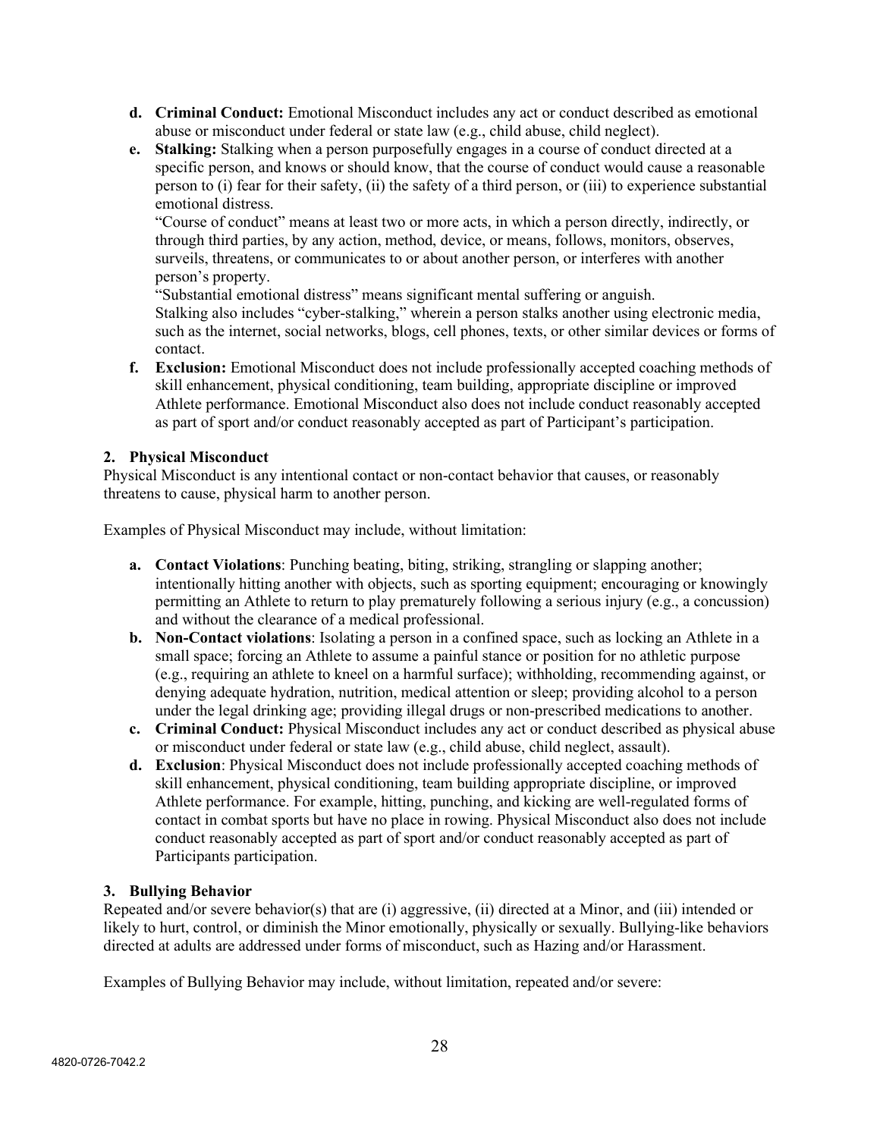- **d. Criminal Conduct:** Emotional Misconduct includes any act or conduct described as emotional abuse or misconduct under federal or state law (e.g., child abuse, child neglect).
- **e. Stalking:** Stalking when a person purposefully engages in a course of conduct directed at a specific person, and knows or should know, that the course of conduct would cause a reasonable person to (i) fear for their safety, (ii) the safety of a third person, or (iii) to experience substantial emotional distress.

"Course of conduct" means at least two or more acts, in which a person directly, indirectly, or through third parties, by any action, method, device, or means, follows, monitors, observes, surveils, threatens, or communicates to or about another person, or interferes with another person's property.

"Substantial emotional distress" means significant mental suffering or anguish. Stalking also includes "cyber-stalking," wherein a person stalks another using electronic media, such as the internet, social networks, blogs, cell phones, texts, or other similar devices or forms of contact.

**f. Exclusion:** Emotional Misconduct does not include professionally accepted coaching methods of skill enhancement, physical conditioning, team building, appropriate discipline or improved Athlete performance. Emotional Misconduct also does not include conduct reasonably accepted as part of sport and/or conduct reasonably accepted as part of Participant's participation.

## **2. Physical Misconduct**

Physical Misconduct is any intentional contact or non-contact behavior that causes, or reasonably threatens to cause, physical harm to another person.

Examples of Physical Misconduct may include, without limitation:

- **a. Contact Violations**: Punching beating, biting, striking, strangling or slapping another; intentionally hitting another with objects, such as sporting equipment; encouraging or knowingly permitting an Athlete to return to play prematurely following a serious injury (e.g., a concussion) and without the clearance of a medical professional.
- **b. Non-Contact violations**: Isolating a person in a confined space, such as locking an Athlete in a small space; forcing an Athlete to assume a painful stance or position for no athletic purpose (e.g., requiring an athlete to kneel on a harmful surface); withholding, recommending against, or denying adequate hydration, nutrition, medical attention or sleep; providing alcohol to a person under the legal drinking age; providing illegal drugs or non-prescribed medications to another.
- **c. Criminal Conduct:** Physical Misconduct includes any act or conduct described as physical abuse or misconduct under federal or state law (e.g., child abuse, child neglect, assault).
- **d. Exclusion**: Physical Misconduct does not include professionally accepted coaching methods of skill enhancement, physical conditioning, team building appropriate discipline, or improved Athlete performance. For example, hitting, punching, and kicking are well-regulated forms of contact in combat sports but have no place in rowing. Physical Misconduct also does not include conduct reasonably accepted as part of sport and/or conduct reasonably accepted as part of Participants participation.

## **3. Bullying Behavior**

Repeated and/or severe behavior(s) that are (i) aggressive, (ii) directed at a Minor, and (iii) intended or likely to hurt, control, or diminish the Minor emotionally, physically or sexually. Bullying-like behaviors directed at adults are addressed under forms of misconduct, such as Hazing and/or Harassment.

Examples of Bullying Behavior may include, without limitation, repeated and/or severe: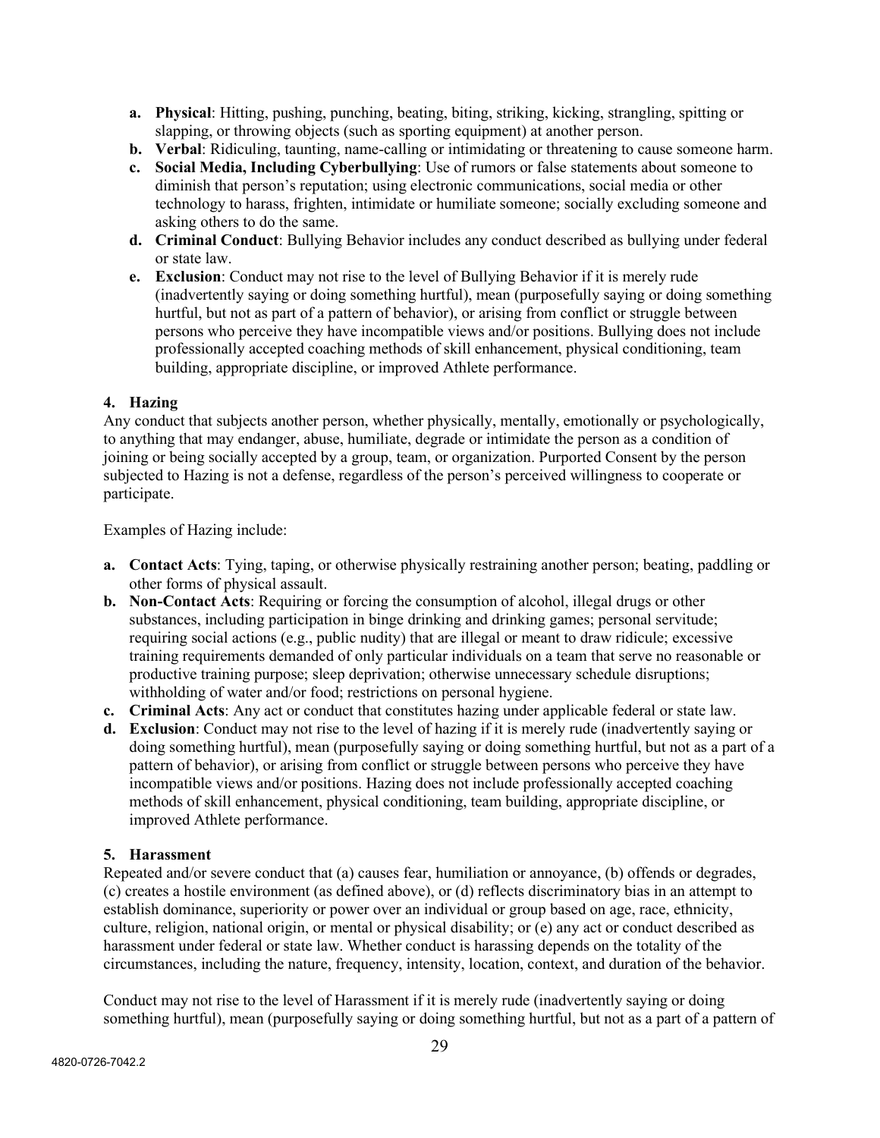- **a. Physical**: Hitting, pushing, punching, beating, biting, striking, kicking, strangling, spitting or slapping, or throwing objects (such as sporting equipment) at another person.
- **b. Verbal**: Ridiculing, taunting, name-calling or intimidating or threatening to cause someone harm.
- **c. Social Media, Including Cyberbullying**: Use of rumors or false statements about someone to diminish that person's reputation; using electronic communications, social media or other technology to harass, frighten, intimidate or humiliate someone; socially excluding someone and asking others to do the same.
- **d. Criminal Conduct**: Bullying Behavior includes any conduct described as bullying under federal or state law.
- **e. Exclusion**: Conduct may not rise to the level of Bullying Behavior if it is merely rude (inadvertently saying or doing something hurtful), mean (purposefully saying or doing something hurtful, but not as part of a pattern of behavior), or arising from conflict or struggle between persons who perceive they have incompatible views and/or positions. Bullying does not include professionally accepted coaching methods of skill enhancement, physical conditioning, team building, appropriate discipline, or improved Athlete performance.

## **4. Hazing**

Any conduct that subjects another person, whether physically, mentally, emotionally or psychologically, to anything that may endanger, abuse, humiliate, degrade or intimidate the person as a condition of joining or being socially accepted by a group, team, or organization. Purported Consent by the person subjected to Hazing is not a defense, regardless of the person's perceived willingness to cooperate or participate.

Examples of Hazing include:

- **a. Contact Acts**: Tying, taping, or otherwise physically restraining another person; beating, paddling or other forms of physical assault.
- **b. Non-Contact Acts**: Requiring or forcing the consumption of alcohol, illegal drugs or other substances, including participation in binge drinking and drinking games; personal servitude; requiring social actions (e.g., public nudity) that are illegal or meant to draw ridicule; excessive training requirements demanded of only particular individuals on a team that serve no reasonable or productive training purpose; sleep deprivation; otherwise unnecessary schedule disruptions; withholding of water and/or food; restrictions on personal hygiene.
- **c. Criminal Acts**: Any act or conduct that constitutes hazing under applicable federal or state law.
- **d. Exclusion**: Conduct may not rise to the level of hazing if it is merely rude (inadvertently saying or doing something hurtful), mean (purposefully saying or doing something hurtful, but not as a part of a pattern of behavior), or arising from conflict or struggle between persons who perceive they have incompatible views and/or positions. Hazing does not include professionally accepted coaching methods of skill enhancement, physical conditioning, team building, appropriate discipline, or improved Athlete performance.

## **5. Harassment**

Repeated and/or severe conduct that (a) causes fear, humiliation or annoyance, (b) offends or degrades, (c) creates a hostile environment (as defined above), or (d) reflects discriminatory bias in an attempt to establish dominance, superiority or power over an individual or group based on age, race, ethnicity, culture, religion, national origin, or mental or physical disability; or (e) any act or conduct described as harassment under federal or state law. Whether conduct is harassing depends on the totality of the circumstances, including the nature, frequency, intensity, location, context, and duration of the behavior.

Conduct may not rise to the level of Harassment if it is merely rude (inadvertently saying or doing something hurtful), mean (purposefully saying or doing something hurtful, but not as a part of a pattern of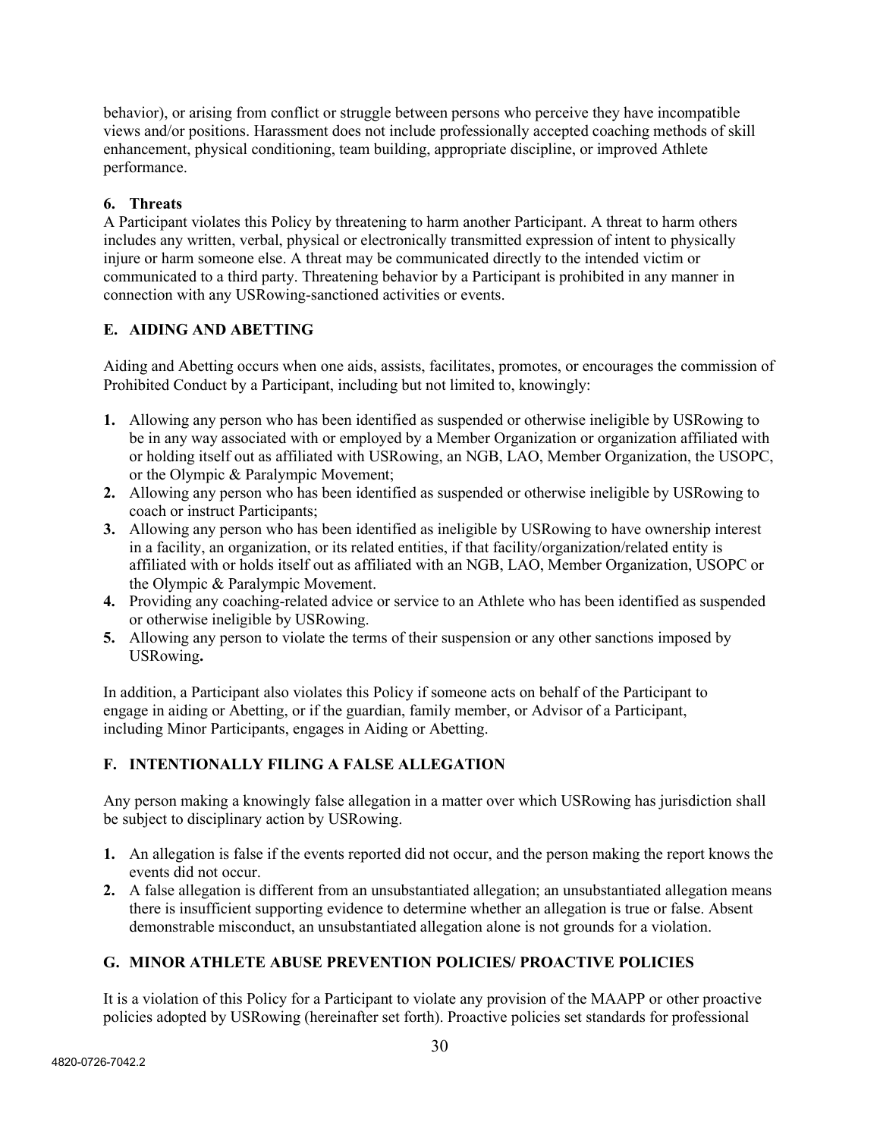behavior), or arising from conflict or struggle between persons who perceive they have incompatible views and/or positions. Harassment does not include professionally accepted coaching methods of skill enhancement, physical conditioning, team building, appropriate discipline, or improved Athlete performance.

## **6. Threats**

A Participant violates this Policy by threatening to harm another Participant. A threat to harm others includes any written, verbal, physical or electronically transmitted expression of intent to physically injure or harm someone else. A threat may be communicated directly to the intended victim or communicated to a third party. Threatening behavior by a Participant is prohibited in any manner in connection with any USRowing-sanctioned activities or events.

## **E. AIDING AND ABETTING**

Aiding and Abetting occurs when one aids, assists, facilitates, promotes, or encourages the commission of Prohibited Conduct by a Participant, including but not limited to, knowingly:

- **1.** Allowing any person who has been identified as suspended or otherwise ineligible by USRowing to be in any way associated with or employed by a Member Organization or organization affiliated with or holding itself out as affiliated with USRowing, an NGB, LAO, Member Organization, the USOPC, or the Olympic & Paralympic Movement;
- **2.** Allowing any person who has been identified as suspended or otherwise ineligible by USRowing to coach or instruct Participants;
- **3.** Allowing any person who has been identified as ineligible by USRowing to have ownership interest in a facility, an organization, or its related entities, if that facility/organization/related entity is affiliated with or holds itself out as affiliated with an NGB, LAO, Member Organization, USOPC or the Olympic & Paralympic Movement.
- **4.** Providing any coaching-related advice or service to an Athlete who has been identified as suspended or otherwise ineligible by USRowing.
- **5.** Allowing any person to violate the terms of their suspension or any other sanctions imposed by USRowing**.**

In addition, a Participant also violates this Policy if someone acts on behalf of the Participant to engage in aiding or Abetting, or if the guardian, family member, or Advisor of a Participant, including Minor Participants, engages in Aiding or Abetting.

## **F. INTENTIONALLY FILING A FALSE ALLEGATION**

Any person making a knowingly false allegation in a matter over which USRowing has jurisdiction shall be subject to disciplinary action by USRowing.

- **1.** An allegation is false if the events reported did not occur, and the person making the report knows the events did not occur.
- **2.** A false allegation is different from an unsubstantiated allegation; an unsubstantiated allegation means there is insufficient supporting evidence to determine whether an allegation is true or false. Absent demonstrable misconduct, an unsubstantiated allegation alone is not grounds for a violation.

## **G. MINOR ATHLETE ABUSE PREVENTION POLICIES/ PROACTIVE POLICIES**

It is a violation of this Policy for a Participant to violate any provision of the MAAPP or other proactive policies adopted by USRowing (hereinafter set forth). Proactive policies set standards for professional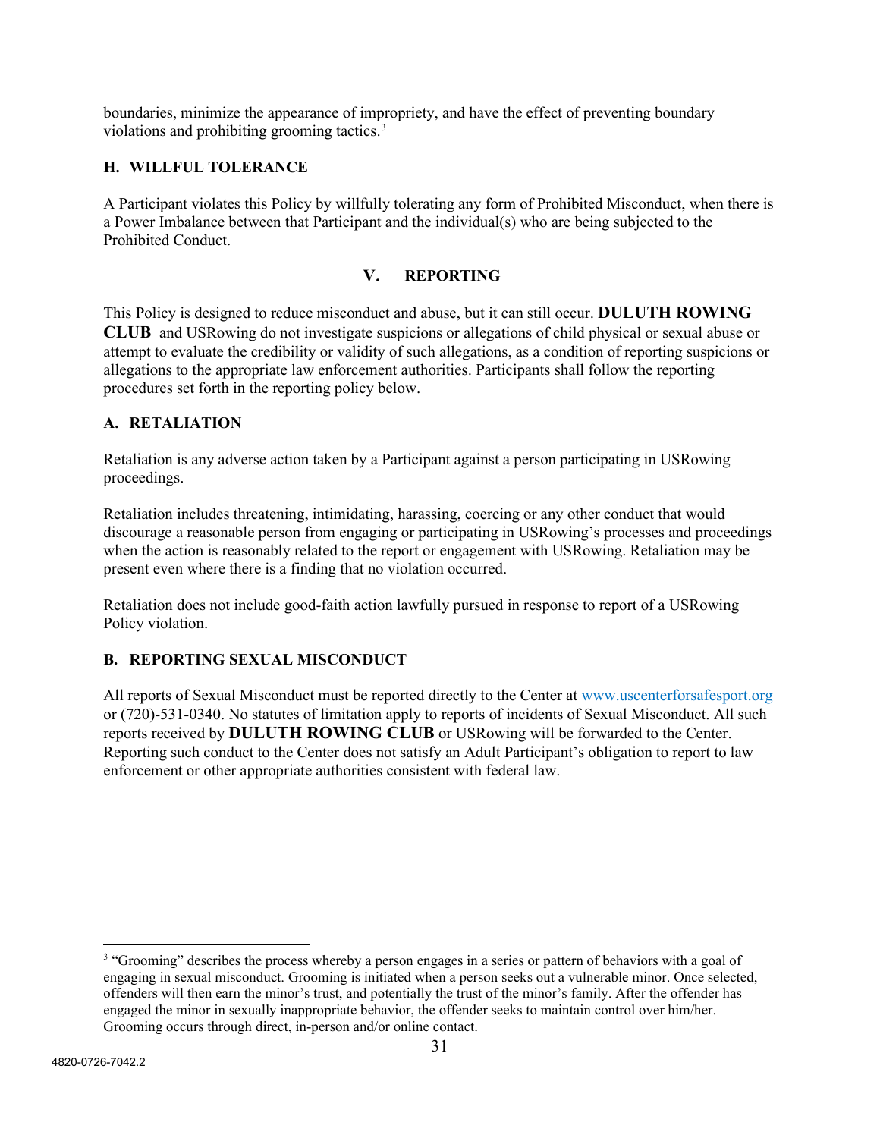boundaries, minimize the appearance of impropriety, and have the effect of preventing boundary violations and prohibiting grooming tactics.[3](#page-30-0)

## **H. WILLFUL TOLERANCE**

A Participant violates this Policy by willfully tolerating any form of Prohibited Misconduct, when there is a Power Imbalance between that Participant and the individual(s) who are being subjected to the Prohibited Conduct.

#### **REPORTING**  $V_{\bullet}$

This Policy is designed to reduce misconduct and abuse, but it can still occur. **DULUTH ROWING CLUB** and USRowing do not investigate suspicions or allegations of child physical or sexual abuse or attempt to evaluate the credibility or validity of such allegations, as a condition of reporting suspicions or allegations to the appropriate law enforcement authorities. Participants shall follow the reporting procedures set forth in the reporting policy below.

## **A. RETALIATION**

Retaliation is any adverse action taken by a Participant against a person participating in USRowing proceedings.

Retaliation includes threatening, intimidating, harassing, coercing or any other conduct that would discourage a reasonable person from engaging or participating in USRowing's processes and proceedings when the action is reasonably related to the report or engagement with USRowing. Retaliation may be present even where there is a finding that no violation occurred.

Retaliation does not include good-faith action lawfully pursued in response to report of a USRowing Policy violation.

## **B. REPORTING SEXUAL MISCONDUCT**

All reports of Sexual Misconduct must be reported directly to the Center at [www.uscenterforsafesport.org](http://www.uscenterforsafesport.org/) or (720)-531-0340. No statutes of limitation apply to reports of incidents of Sexual Misconduct. All such reports received by **DULUTH ROWING CLUB** or USRowing will be forwarded to the Center. Reporting such conduct to the Center does not satisfy an Adult Participant's obligation to report to law enforcement or other appropriate authorities consistent with federal law.

<span id="page-30-0"></span><sup>&</sup>lt;sup>3</sup> "Grooming" describes the process whereby a person engages in a series or pattern of behaviors with a goal of engaging in sexual misconduct. Grooming is initiated when a person seeks out a vulnerable minor. Once selected, offenders will then earn the minor's trust, and potentially the trust of the minor's family. After the offender has engaged the minor in sexually inappropriate behavior, the offender seeks to maintain control over him/her. Grooming occurs through direct, in-person and/or online contact.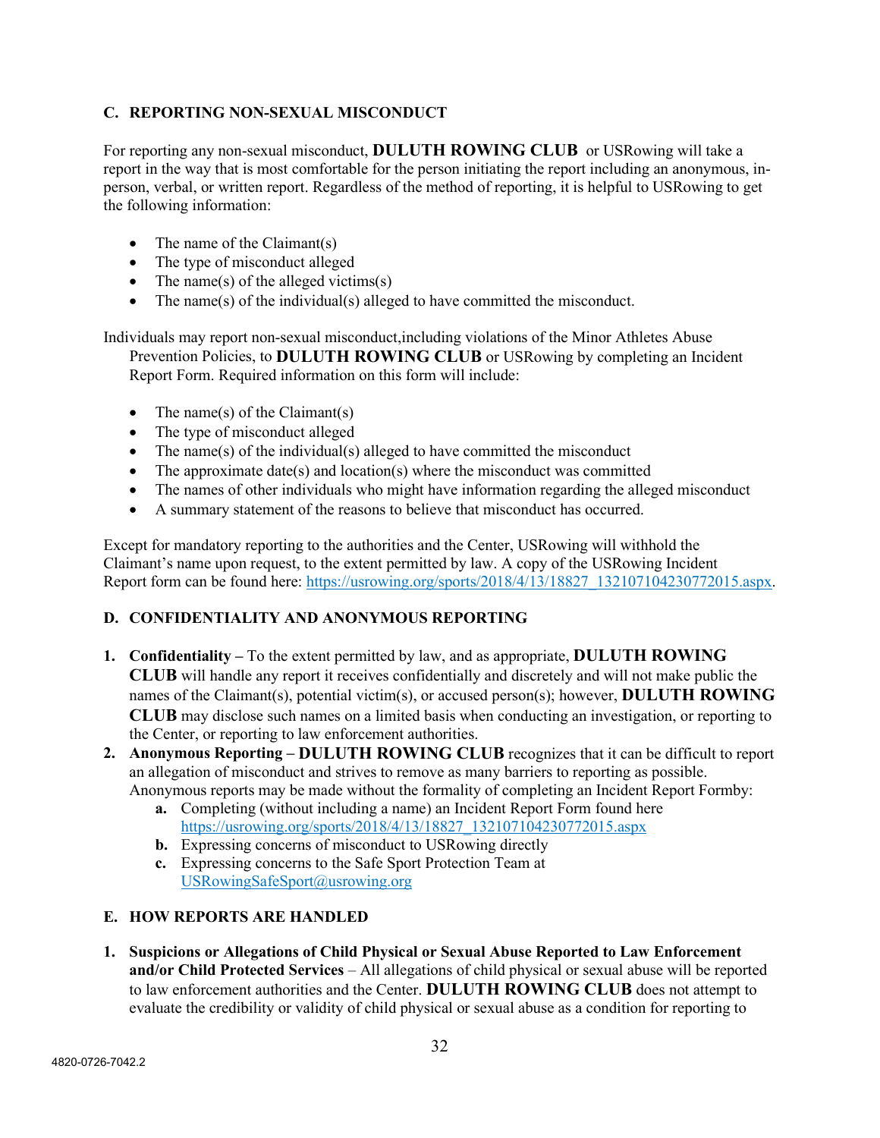## **C. REPORTING NON-SEXUAL MISCONDUCT**

For reporting any non-sexual misconduct, **DULUTH ROWING CLUB** or USRowing will take a report in the way that is most comfortable for the person initiating the report including an anonymous, inperson, verbal, or written report. Regardless of the method of reporting, it is helpful to USRowing to get the following information:

- The name of the Claimant(s)
- The type of misconduct alleged
- The name(s) of the alleged victims(s)
- The name(s) of the individual(s) alleged to have committed the misconduct.

Individuals may report non-sexual misconduct,including violations of the Minor Athletes Abuse Prevention Policies, to **DULUTH ROWING CLUB** or USRowing by completing an Incident Report Form. Required information on this form will include:

- The name(s) of the Claimant(s)
- The type of misconduct alleged
- The name(s) of the individual(s) alleged to have committed the misconduct
- The approximate date(s) and location(s) where the misconduct was committed
- The names of other individuals who might have information regarding the alleged misconduct
- A summary statement of the reasons to believe that misconduct has occurred.

Except for mandatory reporting to the authorities and the Center, USRowing will withhold the Claimant's name upon request, to the extent permitted by law. A copy of the USRowing Incident Report form can be found here: https://usrowing.org/sports/2018/4/13/18827 132107104230772015.aspx.

#### **D. CONFIDENTIALITY AND ANONYMOUS REPORTING**

- **1. Confidentiality** To the extent permitted by law, and as appropriate, **DULUTH ROWING CLUB** will handle any report it receives confidentially and discretely and will not make public the names of the Claimant(s), potential victim(s), or accused person(s); however, **DULUTH ROWING CLUB** may disclose such names on a limited basis when conducting an investigation, or reporting to the Center, or reporting to law enforcement authorities.
- **2. Anonymous Reporting DULUTH ROWING CLUB** recognizes that it can be difficult to report an allegation of misconduct and strives to remove as many barriers to reporting as possible. Anonymous reports may be made without the formality of completing an Incident Report Formby:
	- **a.** Completing (without including a name) an Incident Report Form found here [https://usrowing.org/sports/2018/4/13/18827\\_132107104230772015.aspx](https://usrowing.org/sports/2018/4/13/18827_132107104230772015.aspx)
	- **b.** Expressing concerns of misconduct to USRowing directly
	- **c.** Expressing concerns to the Safe Sport Protection Team at [USRowingSafeSport@usrowing.org](mailto:USRowingSafeSport@usrowing.org)

#### **E. HOW REPORTS ARE HANDLED**

**1. Suspicions or Allegations of Child Physical or Sexual Abuse Reported to Law Enforcement and/or Child Protected Services** – All allegations of child physical or sexual abuse will be reported to law enforcement authorities and the Center. **DULUTH ROWING CLUB** does not attempt to evaluate the credibility or validity of child physical or sexual abuse as a condition for reporting to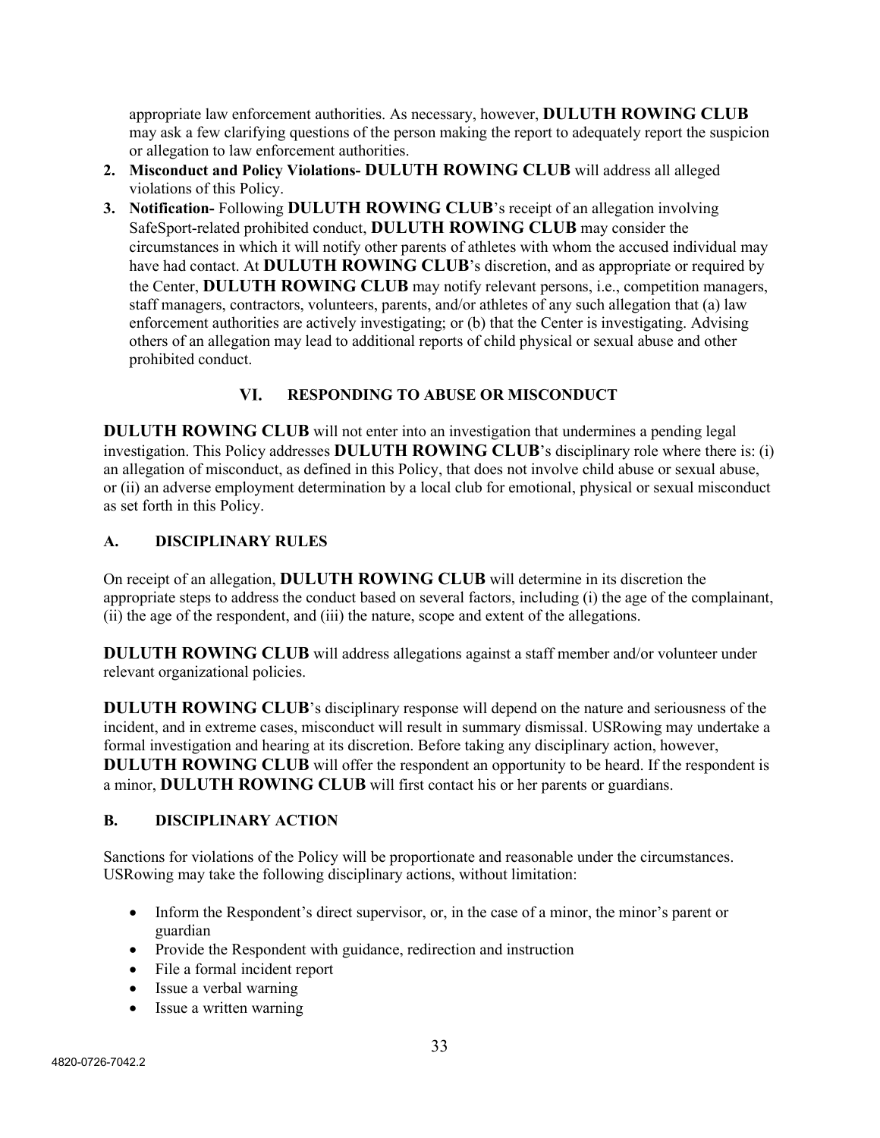appropriate law enforcement authorities. As necessary, however, **DULUTH ROWING CLUB** may ask a few clarifying questions of the person making the report to adequately report the suspicion or allegation to law enforcement authorities.

- **2. Misconduct and Policy Violations- DULUTH ROWING CLUB** will address all alleged violations of this Policy.
- **3. Notification-** Following **DULUTH ROWING CLUB**'s receipt of an allegation involving SafeSport-related prohibited conduct, **DULUTH ROWING CLUB** may consider the circumstances in which it will notify other parents of athletes with whom the accused individual may have had contact. At **DULUTH ROWING CLUB**'s discretion, and as appropriate or required by the Center, **DULUTH ROWING CLUB** may notify relevant persons, i.e., competition managers, staff managers, contractors, volunteers, parents, and/or athletes of any such allegation that (a) law enforcement authorities are actively investigating; or (b) that the Center is investigating. Advising others of an allegation may lead to additional reports of child physical or sexual abuse and other prohibited conduct.

#### VI. **RESPONDING TO ABUSE OR MISCONDUCT**

**DULUTH ROWING CLUB** will not enter into an investigation that undermines a pending legal investigation. This Policy addresses **DULUTH ROWING CLUB**'s disciplinary role where there is: (i) an allegation of misconduct, as defined in this Policy, that does not involve child abuse or sexual abuse, or (ii) an adverse employment determination by a local club for emotional, physical or sexual misconduct as set forth in this Policy.

## **A. DISCIPLINARY RULES**

On receipt of an allegation, **DULUTH ROWING CLUB** will determine in its discretion the appropriate steps to address the conduct based on several factors, including (i) the age of the complainant, (ii) the age of the respondent, and (iii) the nature, scope and extent of the allegations.

**DULUTH ROWING CLUB** will address allegations against a staff member and/or volunteer under relevant organizational policies.

**DULUTH ROWING CLUB**'s disciplinary response will depend on the nature and seriousness of the incident, and in extreme cases, misconduct will result in summary dismissal. USRowing may undertake a formal investigation and hearing at its discretion. Before taking any disciplinary action, however, **DULUTH ROWING CLUB** will offer the respondent an opportunity to be heard. If the respondent is a minor, **DULUTH ROWING CLUB** will first contact his or her parents or guardians.

#### **B. DISCIPLINARY ACTION**

Sanctions for violations of the Policy will be proportionate and reasonable under the circumstances. USRowing may take the following disciplinary actions, without limitation:

- Inform the Respondent's direct supervisor, or, in the case of a minor, the minor's parent or guardian
- Provide the Respondent with guidance, redirection and instruction
- File a formal incident report
- Issue a verbal warning
- Issue a written warning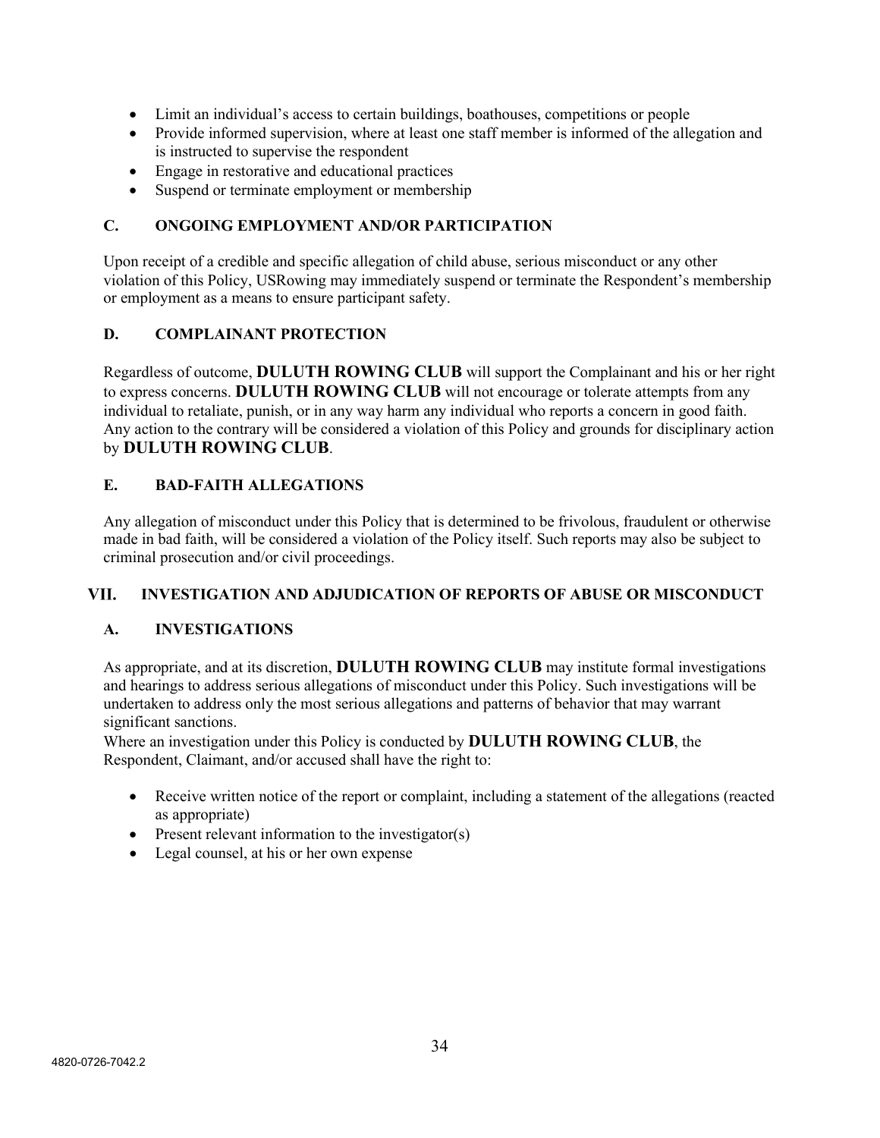- Limit an individual's access to certain buildings, boathouses, competitions or people
- Provide informed supervision, where at least one staff member is informed of the allegation and is instructed to supervise the respondent
- Engage in restorative and educational practices
- Suspend or terminate employment or membership

## **C. ONGOING EMPLOYMENT AND/OR PARTICIPATION**

Upon receipt of a credible and specific allegation of child abuse, serious misconduct or any other violation of this Policy, USRowing may immediately suspend or terminate the Respondent's membership or employment as a means to ensure participant safety.

## **D. COMPLAINANT PROTECTION**

Regardless of outcome, **DULUTH ROWING CLUB** will support the Complainant and his or her right to express concerns. **DULUTH ROWING CLUB** will not encourage or tolerate attempts from any individual to retaliate, punish, or in any way harm any individual who reports a concern in good faith. Any action to the contrary will be considered a violation of this Policy and grounds for disciplinary action by **DULUTH ROWING CLUB**.

## **E. BAD-FAITH ALLEGATIONS**

Any allegation of misconduct under this Policy that is determined to be frivolous, fraudulent or otherwise made in bad faith, will be considered a violation of the Policy itself. Such reports may also be subject to criminal prosecution and/or civil proceedings.

#### **INVESTIGATION AND ADJUDICATION OF REPORTS OF ABUSE OR MISCONDUCT** VII.

#### **A. INVESTIGATIONS**

As appropriate, and at its discretion, **DULUTH ROWING CLUB** may institute formal investigations and hearings to address serious allegations of misconduct under this Policy. Such investigations will be undertaken to address only the most serious allegations and patterns of behavior that may warrant significant sanctions.

Where an investigation under this Policy is conducted by **DULUTH ROWING CLUB**, the Respondent, Claimant, and/or accused shall have the right to:

- Receive written notice of the report or complaint, including a statement of the allegations (reacted as appropriate)
- Present relevant information to the investigator(s)
- Legal counsel, at his or her own expense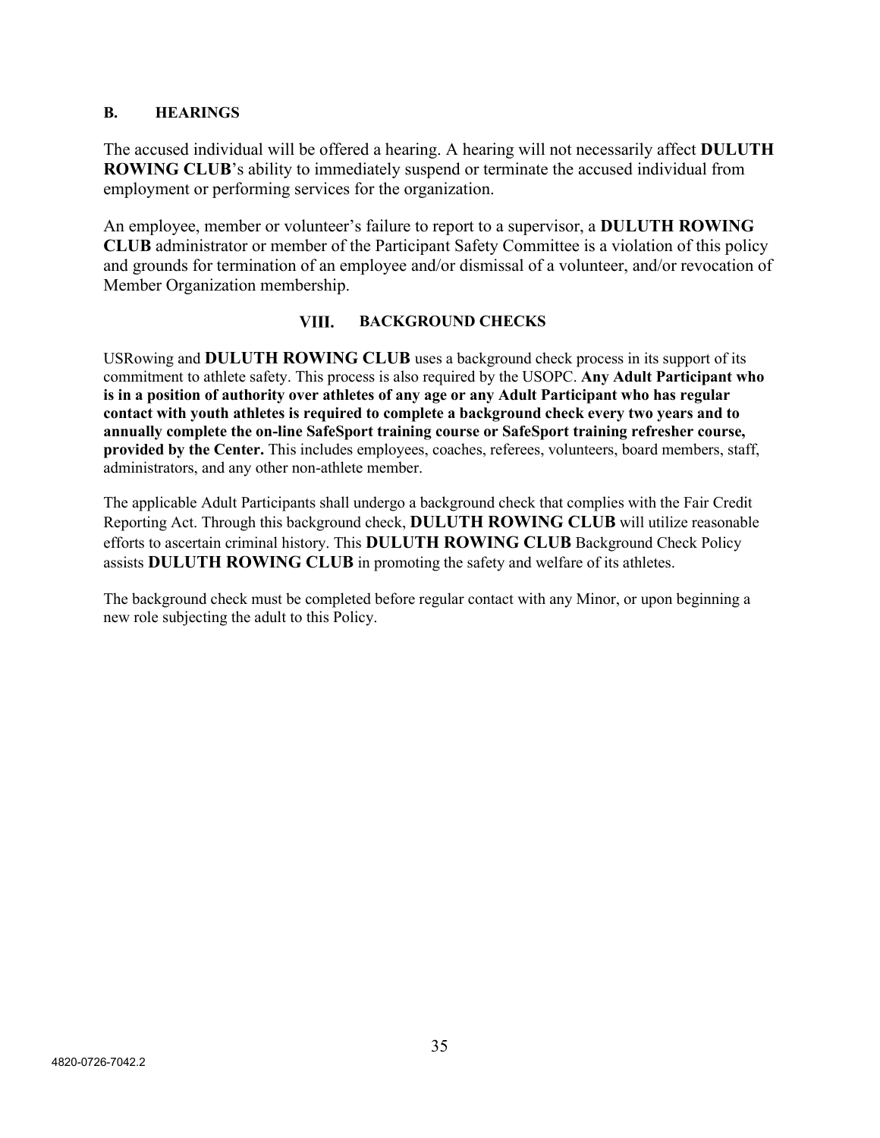## **B. HEARINGS**

The accused individual will be offered a hearing. A hearing will not necessarily affect **DULUTH ROWING CLUB**'s ability to immediately suspend or terminate the accused individual from employment or performing services for the organization.

An employee, member or volunteer's failure to report to a supervisor, a **DULUTH ROWING CLUB** administrator or member of the Participant Safety Committee is a violation of this policy and grounds for termination of an employee and/or dismissal of a volunteer, and/or revocation of Member Organization membership.

#### VIII. **BACKGROUND CHECKS**

USRowing and **DULUTH ROWING CLUB** uses a background check process in its support of its commitment to athlete safety. This process is also required by the USOPC. **Any Adult Participant who is in a position of authority over athletes of any age or any Adult Participant who has regular contact with youth athletes is required to complete a background check every two years and to annually complete the on-line SafeSport training course or SafeSport training refresher course, provided by the Center.** This includes employees, coaches, referees, volunteers, board members, staff, administrators, and any other non-athlete member.

The applicable Adult Participants shall undergo a background check that complies with the Fair Credit Reporting Act. Through this background check, **DULUTH ROWING CLUB** will utilize reasonable efforts to ascertain criminal history. This **DULUTH ROWING CLUB** Background Check Policy assists **DULUTH ROWING CLUB** in promoting the safety and welfare of its athletes.

The background check must be completed before regular contact with any Minor, or upon beginning a new role subjecting the adult to this Policy.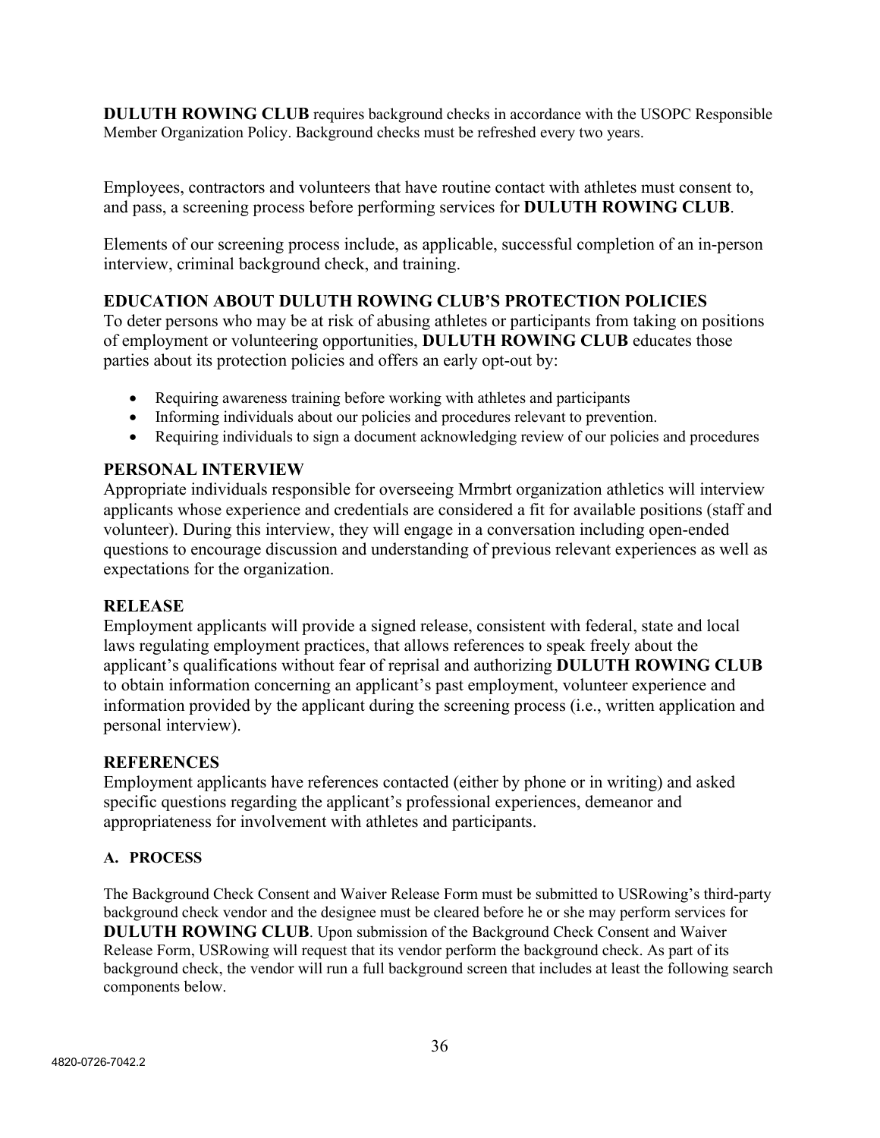**DULUTH ROWING CLUB** requires background checks in accordance with the USOPC Responsible Member Organization Policy. Background checks must be refreshed every two years.

Employees, contractors and volunteers that have routine contact with athletes must consent to, and pass, a screening process before performing services for **DULUTH ROWING CLUB**.

Elements of our screening process include, as applicable, successful completion of an in-person interview, criminal background check, and training.

# **EDUCATION ABOUT DULUTH ROWING CLUB'S PROTECTION POLICIES**

To deter persons who may be at risk of abusing athletes or participants from taking on positions of employment or volunteering opportunities, **DULUTH ROWING CLUB** educates those parties about its protection policies and offers an early opt-out by:

- Requiring awareness training before working with athletes and participants
- Informing individuals about our policies and procedures relevant to prevention.
- Requiring individuals to sign a document acknowledging review of our policies and procedures

# **PERSONAL INTERVIEW**

Appropriate individuals responsible for overseeing Mrmbrt organization athletics will interview applicants whose experience and credentials are considered a fit for available positions (staff and volunteer). During this interview, they will engage in a conversation including open-ended questions to encourage discussion and understanding of previous relevant experiences as well as expectations for the organization.

## **RELEASE**

Employment applicants will provide a signed release, consistent with federal, state and local laws regulating employment practices, that allows references to speak freely about the applicant's qualifications without fear of reprisal and authorizing **DULUTH ROWING CLUB** to obtain information concerning an applicant's past employment, volunteer experience and information provided by the applicant during the screening process (i.e., written application and personal interview).

## **REFERENCES**

Employment applicants have references contacted (either by phone or in writing) and asked specific questions regarding the applicant's professional experiences, demeanor and appropriateness for involvement with athletes and participants.

## **A. PROCESS**

The Background Check Consent and Waiver Release Form must be submitted to USRowing's third-party background check vendor and the designee must be cleared before he or she may perform services for **DULUTH ROWING CLUB**. Upon submission of the Background Check Consent and Waiver Release Form, USRowing will request that its vendor perform the background check. As part of its background check, the vendor will run a full background screen that includes at least the following search components below.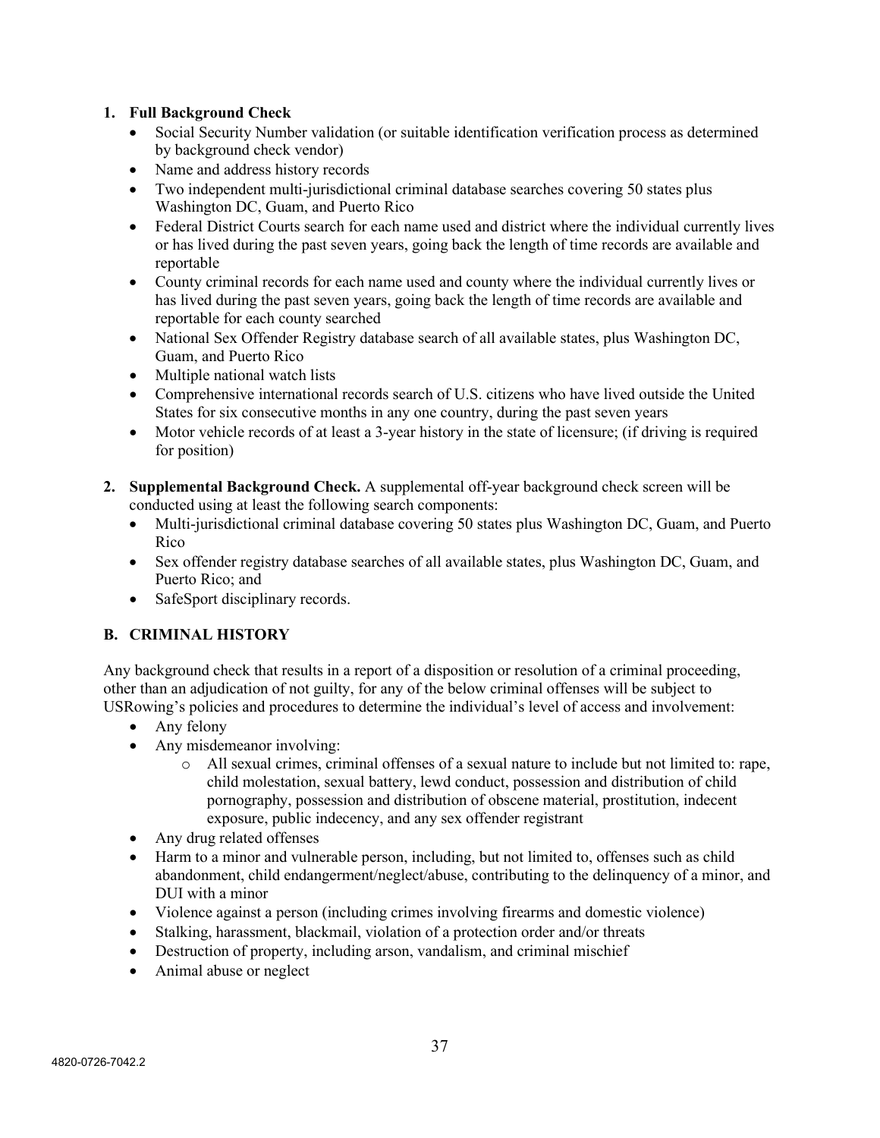## **1. Full Background Check**

- Social Security Number validation (or suitable identification verification process as determined by background check vendor)
- Name and address history records
- Two independent multi-jurisdictional criminal database searches covering 50 states plus Washington DC, Guam, and Puerto Rico
- Federal District Courts search for each name used and district where the individual currently lives or has lived during the past seven years, going back the length of time records are available and reportable
- County criminal records for each name used and county where the individual currently lives or has lived during the past seven years, going back the length of time records are available and reportable for each county searched
- National Sex Offender Registry database search of all available states, plus Washington DC, Guam, and Puerto Rico
- Multiple national watch lists
- Comprehensive international records search of U.S. citizens who have lived outside the United States for six consecutive months in any one country, during the past seven years
- Motor vehicle records of at least a 3-year history in the state of licensure; (if driving is required for position)
- **2. Supplemental Background Check.** A supplemental off-year background check screen will be conducted using at least the following search components:
	- Multi-jurisdictional criminal database covering 50 states plus Washington DC, Guam, and Puerto Rico
	- Sex offender registry database searches of all available states, plus Washington DC, Guam, and Puerto Rico; and
	- SafeSport disciplinary records.

## **B. CRIMINAL HISTORY**

Any background check that results in a report of a disposition or resolution of a criminal proceeding, other than an adjudication of not guilty, for any of the below criminal offenses will be subject to USRowing's policies and procedures to determine the individual's level of access and involvement:

- Any felony
- Any misdemeanor involving:
	- o All sexual crimes, criminal offenses of a sexual nature to include but not limited to: rape, child molestation, sexual battery, lewd conduct, possession and distribution of child pornography, possession and distribution of obscene material, prostitution, indecent exposure, public indecency, and any sex offender registrant
- Any drug related offenses
- Harm to a minor and vulnerable person, including, but not limited to, offenses such as child abandonment, child endangerment/neglect/abuse, contributing to the delinquency of a minor, and DUI with a minor
- Violence against a person (including crimes involving firearms and domestic violence)
- Stalking, harassment, blackmail, violation of a protection order and/or threats
- Destruction of property, including arson, vandalism, and criminal mischief
- Animal abuse or neglect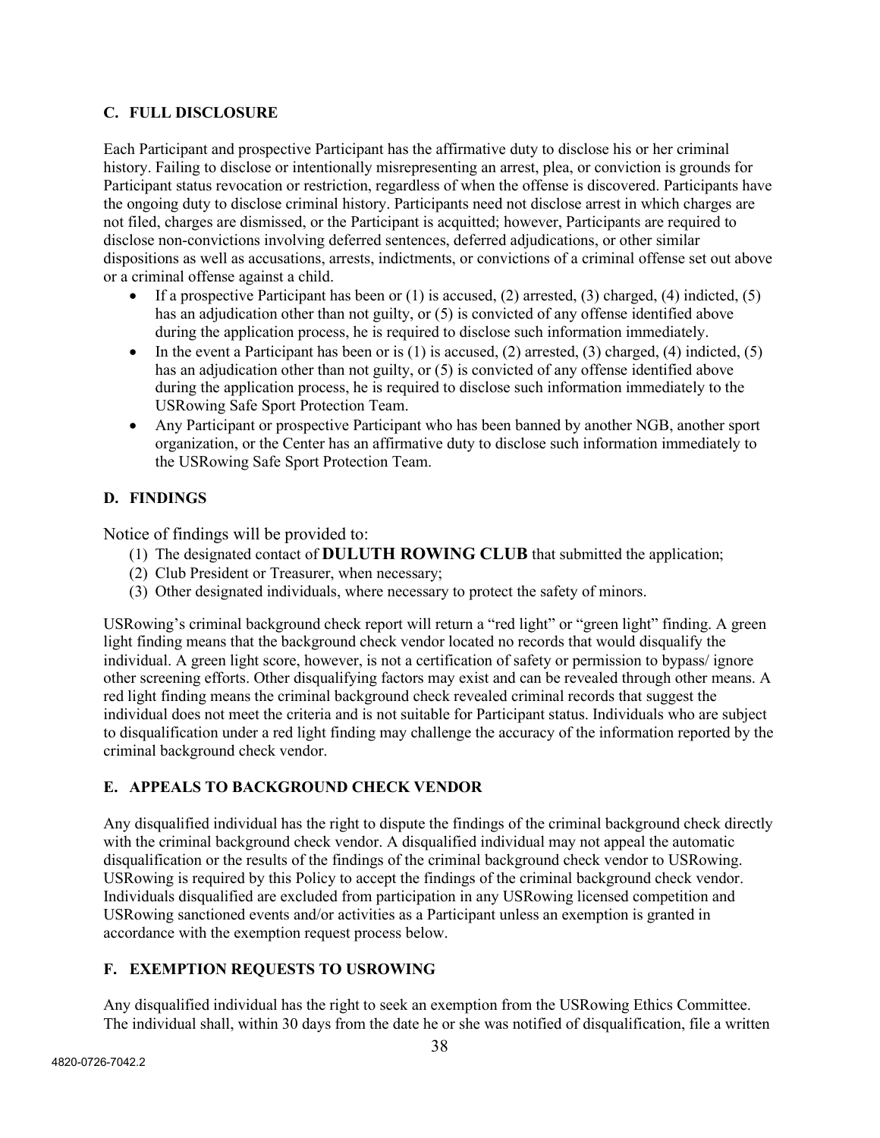## **C. FULL DISCLOSURE**

Each Participant and prospective Participant has the affirmative duty to disclose his or her criminal history. Failing to disclose or intentionally misrepresenting an arrest, plea, or conviction is grounds for Participant status revocation or restriction, regardless of when the offense is discovered. Participants have the ongoing duty to disclose criminal history. Participants need not disclose arrest in which charges are not filed, charges are dismissed, or the Participant is acquitted; however, Participants are required to disclose non-convictions involving deferred sentences, deferred adjudications, or other similar dispositions as well as accusations, arrests, indictments, or convictions of a criminal offense set out above or a criminal offense against a child.

- If a prospective Participant has been or  $(1)$  is accused,  $(2)$  arrested,  $(3)$  charged,  $(4)$  indicted,  $(5)$ has an adjudication other than not guilty, or (5) is convicted of any offense identified above during the application process, he is required to disclose such information immediately.
- In the event a Participant has been or is  $(1)$  is accused,  $(2)$  arrested,  $(3)$  charged,  $(4)$  indicted,  $(5)$ has an adjudication other than not guilty, or (5) is convicted of any offense identified above during the application process, he is required to disclose such information immediately to the USRowing Safe Sport Protection Team.
- Any Participant or prospective Participant who has been banned by another NGB, another sport organization, or the Center has an affirmative duty to disclose such information immediately to the USRowing Safe Sport Protection Team.

## **D. FINDINGS**

Notice of findings will be provided to:

- (1) The designated contact of **DULUTH ROWING CLUB** that submitted the application;
- (2) Club President or Treasurer, when necessary;
- (3) Other designated individuals, where necessary to protect the safety of minors.

USRowing's criminal background check report will return a "red light" or "green light" finding. A green light finding means that the background check vendor located no records that would disqualify the individual. A green light score, however, is not a certification of safety or permission to bypass/ ignore other screening efforts. Other disqualifying factors may exist and can be revealed through other means. A red light finding means the criminal background check revealed criminal records that suggest the individual does not meet the criteria and is not suitable for Participant status. Individuals who are subject to disqualification under a red light finding may challenge the accuracy of the information reported by the criminal background check vendor.

## **E. APPEALS TO BACKGROUND CHECK VENDOR**

Any disqualified individual has the right to dispute the findings of the criminal background check directly with the criminal background check vendor. A disqualified individual may not appeal the automatic disqualification or the results of the findings of the criminal background check vendor to USRowing. USRowing is required by this Policy to accept the findings of the criminal background check vendor. Individuals disqualified are excluded from participation in any USRowing licensed competition and USRowing sanctioned events and/or activities as a Participant unless an exemption is granted in accordance with the exemption request process below.

## **F. EXEMPTION REQUESTS TO USROWING**

Any disqualified individual has the right to seek an exemption from the USRowing Ethics Committee. The individual shall, within 30 days from the date he or she was notified of disqualification, file a written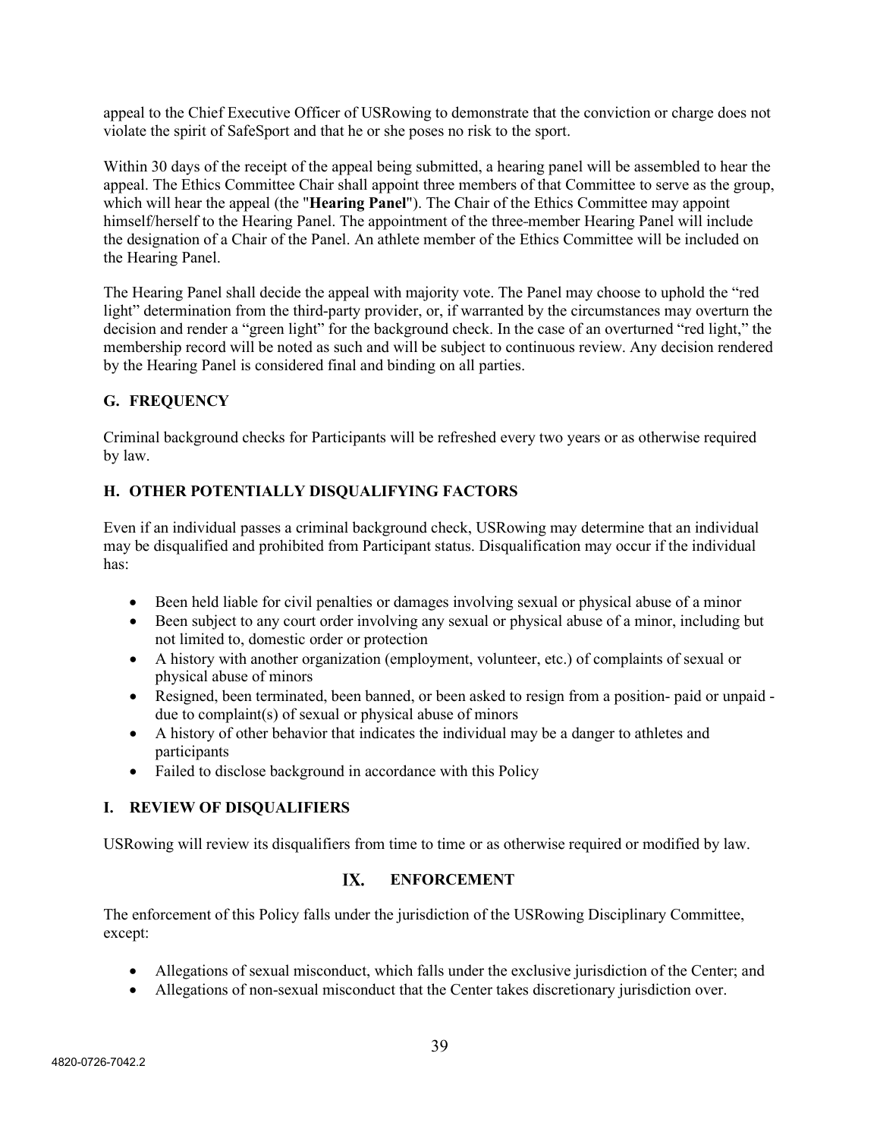appeal to the Chief Executive Officer of USRowing to demonstrate that the conviction or charge does not violate the spirit of SafeSport and that he or she poses no risk to the sport.

Within 30 days of the receipt of the appeal being submitted, a hearing panel will be assembled to hear the appeal. The Ethics Committee Chair shall appoint three members of that Committee to serve as the group, which will hear the appeal (the "**Hearing Panel**"). The Chair of the Ethics Committee may appoint himself/herself to the Hearing Panel. The appointment of the three-member Hearing Panel will include the designation of a Chair of the Panel. An athlete member of the Ethics Committee will be included on the Hearing Panel.

The Hearing Panel shall decide the appeal with majority vote. The Panel may choose to uphold the "red light" determination from the third-party provider, or, if warranted by the circumstances may overturn the decision and render a "green light" for the background check. In the case of an overturned "red light," the membership record will be noted as such and will be subject to continuous review. Any decision rendered by the Hearing Panel is considered final and binding on all parties.

## **G. FREQUENCY**

Criminal background checks for Participants will be refreshed every two years or as otherwise required by law.

## **H. OTHER POTENTIALLY DISQUALIFYING FACTORS**

Even if an individual passes a criminal background check, USRowing may determine that an individual may be disqualified and prohibited from Participant status. Disqualification may occur if the individual has:

- Been held liable for civil penalties or damages involving sexual or physical abuse of a minor
- Been subject to any court order involving any sexual or physical abuse of a minor, including but not limited to, domestic order or protection
- A history with another organization (employment, volunteer, etc.) of complaints of sexual or physical abuse of minors
- Resigned, been terminated, been banned, or been asked to resign from a position-paid or unpaid due to complaint(s) of sexual or physical abuse of minors
- A history of other behavior that indicates the individual may be a danger to athletes and participants
- Failed to disclose background in accordance with this Policy

## **I. REVIEW OF DISQUALIFIERS**

USRowing will review its disqualifiers from time to time or as otherwise required or modified by law.

#### $IX.$ **ENFORCEMENT**

The enforcement of this Policy falls under the jurisdiction of the USRowing Disciplinary Committee, except:

- Allegations of sexual misconduct, which falls under the exclusive jurisdiction of the Center; and
- Allegations of non-sexual misconduct that the Center takes discretionary jurisdiction over.